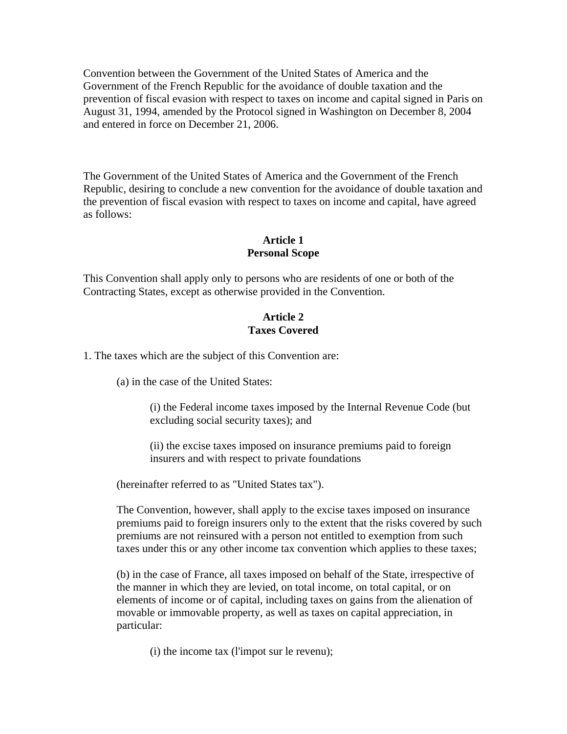Convention between the Government of the United States of America and the Government of the French Republic for the avoidance of double taxation and the prevention of fiscal evasion with respect to taxes on income and capital signed in Paris on August 31, 1994, amended by the Protocol signed in Washington on December 8, 2004 and entered in force on December 21, 2006.

The Government of the United States of America and the Government of the French Republic, desiring to conclude a new convention for the avoidance of double taxation and the prevention of fiscal evasion with respect to taxes on income and capital, have agreed as follows:

# **Article 1 Personal Scope**

This Convention shall apply only to persons who are residents of one or both of the Contracting States, except as otherwise provided in the Convention.

# **Article 2 Taxes Covered**

1. The taxes which are the subject of this Convention are:

(a) in the case of the United States:

(i) the Federal income taxes imposed by the Internal Revenue Code (but excluding social security taxes); and

(ii) the excise taxes imposed on insurance premiums paid to foreign insurers and with respect to private foundations

(hereinafter referred to as "United States tax").

The Convention, however, shall apply to the excise taxes imposed on insurance premiums paid to foreign insurers only to the extent that the risks covered by such premiums are not reinsured with a person not entitled to exemption from such taxes under this or any other income tax convention which applies to these taxes;

(b) in the case of France, all taxes imposed on behalf of the State, irrespective of the manner in which they are levied, on total income, on total capital, or on elements of income or of capital, including taxes on gains from the alienation of movable or immovable property, as well as taxes on capital appreciation, in particular:

(i) the income tax (l'impot sur le revenu);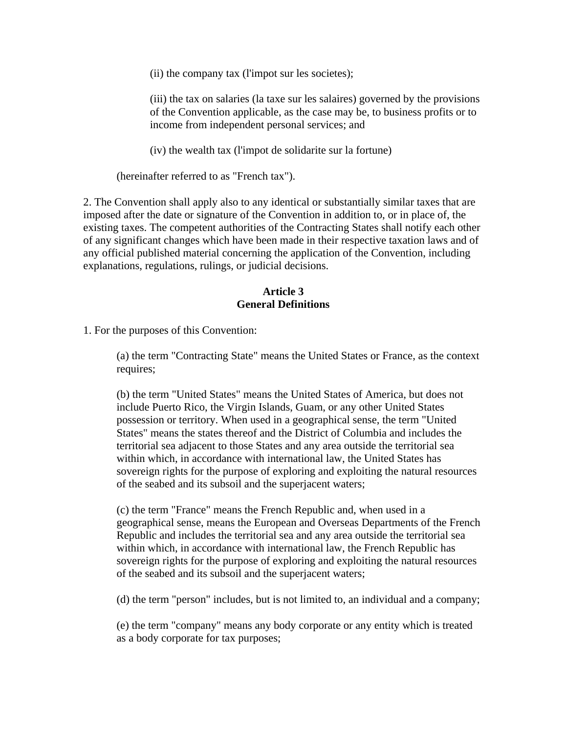(ii) the company tax (l'impot sur les societes);

(iii) the tax on salaries (la taxe sur les salaires) governed by the provisions of the Convention applicable, as the case may be, to business profits or to income from independent personal services; and

(iv) the wealth tax (l'impot de solidarite sur la fortune)

(hereinafter referred to as "French tax").

2. The Convention shall apply also to any identical or substantially similar taxes that are imposed after the date or signature of the Convention in addition to, or in place of, the existing taxes. The competent authorities of the Contracting States shall notify each other of any significant changes which have been made in their respective taxation laws and of any official published material concerning the application of the Convention, including explanations, regulations, rulings, or judicial decisions.

### **Article 3 General Definitions**

1. For the purposes of this Convention:

(a) the term "Contracting State" means the United States or France, as the context requires;

(b) the term "United States" means the United States of America, but does not include Puerto Rico, the Virgin Islands, Guam, or any other United States possession or territory. When used in a geographical sense, the term "United States" means the states thereof and the District of Columbia and includes the territorial sea adjacent to those States and any area outside the territorial sea within which, in accordance with international law, the United States has sovereign rights for the purpose of exploring and exploiting the natural resources of the seabed and its subsoil and the superjacent waters;

(c) the term "France" means the French Republic and, when used in a geographical sense, means the European and Overseas Departments of the French Republic and includes the territorial sea and any area outside the territorial sea within which, in accordance with international law, the French Republic has sovereign rights for the purpose of exploring and exploiting the natural resources of the seabed and its subsoil and the superjacent waters;

(d) the term "person" includes, but is not limited to, an individual and a company;

(e) the term "company" means any body corporate or any entity which is treated as a body corporate for tax purposes;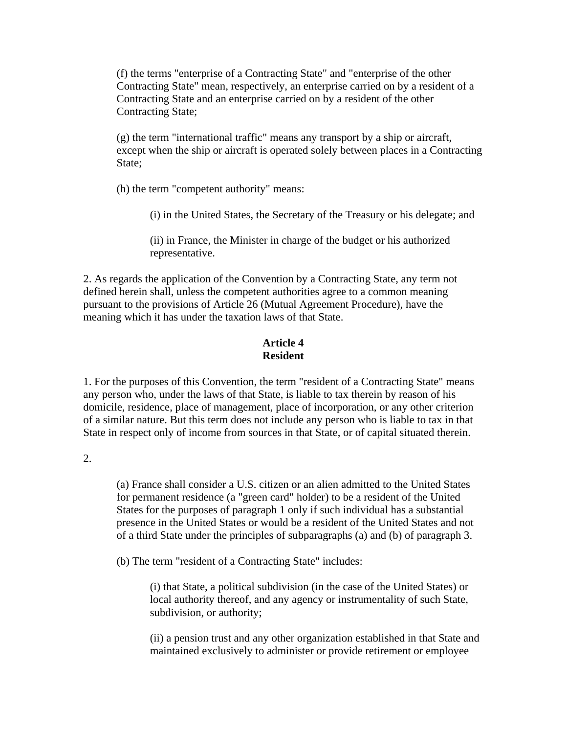(f) the terms "enterprise of a Contracting State" and "enterprise of the other Contracting State" mean, respectively, an enterprise carried on by a resident of a Contracting State and an enterprise carried on by a resident of the other Contracting State;

(g) the term "international traffic" means any transport by a ship or aircraft, except when the ship or aircraft is operated solely between places in a Contracting State;

(h) the term "competent authority" means:

(i) in the United States, the Secretary of the Treasury or his delegate; and

(ii) in France, the Minister in charge of the budget or his authorized representative.

2. As regards the application of the Convention by a Contracting State, any term not defined herein shall, unless the competent authorities agree to a common meaning pursuant to the provisions of Article 26 (Mutual Agreement Procedure), have the meaning which it has under the taxation laws of that State.

### **Article 4 Resident**

1. For the purposes of this Convention, the term "resident of a Contracting State" means any person who, under the laws of that State, is liable to tax therein by reason of his domicile, residence, place of management, place of incorporation, or any other criterion of a similar nature. But this term does not include any person who is liable to tax in that State in respect only of income from sources in that State, or of capital situated therein.

2.

(a) France shall consider a U.S. citizen or an alien admitted to the United States for permanent residence (a "green card" holder) to be a resident of the United States for the purposes of paragraph 1 only if such individual has a substantial presence in the United States or would be a resident of the United States and not of a third State under the principles of subparagraphs (a) and (b) of paragraph 3.

(b) The term "resident of a Contracting State" includes:

(i) that State, a political subdivision (in the case of the United States) or local authority thereof, and any agency or instrumentality of such State, subdivision, or authority;

(ii) a pension trust and any other organization established in that State and maintained exclusively to administer or provide retirement or employee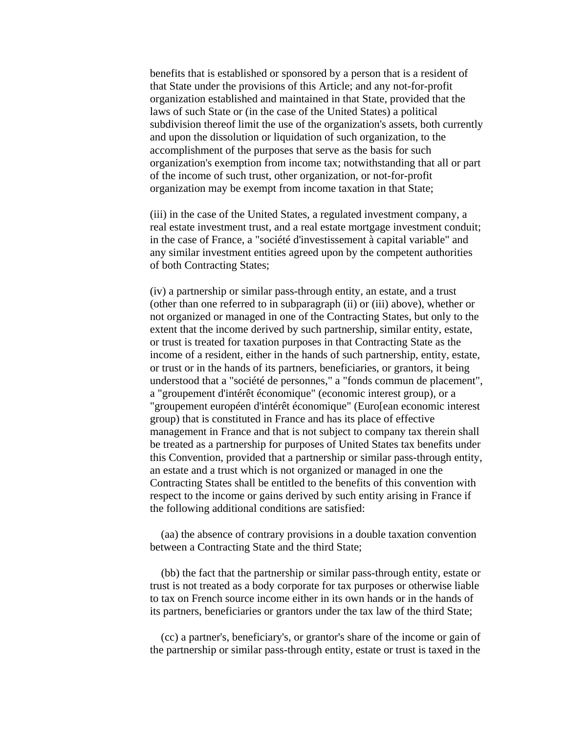benefits that is established or sponsored by a person that is a resident of that State under the provisions of this Article; and any not-for-profit organization established and maintained in that State, provided that the laws of such State or (in the case of the United States) a political subdivision thereof limit the use of the organization's assets, both currently and upon the dissolution or liquidation of such organization, to the accomplishment of the purposes that serve as the basis for such organization's exemption from income tax; notwithstanding that all or part of the income of such trust, other organization, or not-for-profit organization may be exempt from income taxation in that State;

(iii) in the case of the United States, a regulated investment company, a real estate investment trust, and a real estate mortgage investment conduit; in the case of France, a "société d'investissement à capital variable" and any similar investment entities agreed upon by the competent authorities of both Contracting States;

(iv) a partnership or similar pass-through entity, an estate, and a trust (other than one referred to in subparagraph (ii) or (iii) above), whether or not organized or managed in one of the Contracting States, but only to the extent that the income derived by such partnership, similar entity, estate, or trust is treated for taxation purposes in that Contracting State as the income of a resident, either in the hands of such partnership, entity, estate, or trust or in the hands of its partners, beneficiaries, or grantors, it being understood that a "société de personnes," a "fonds commun de placement", a "groupement d'intérêt économique" (economic interest group), or a "groupement européen d'intérêt économique" (Euro[ean economic interest group) that is constituted in France and has its place of effective management in France and that is not subject to company tax therein shall be treated as a partnership for purposes of United States tax benefits under this Convention, provided that a partnership or similar pass-through entity, an estate and a trust which is not organized or managed in one the Contracting States shall be entitled to the benefits of this convention with respect to the income or gains derived by such entity arising in France if the following additional conditions are satisfied:

 (aa) the absence of contrary provisions in a double taxation convention between a Contracting State and the third State;

 (bb) the fact that the partnership or similar pass-through entity, estate or trust is not treated as a body corporate for tax purposes or otherwise liable to tax on French source income either in its own hands or in the hands of its partners, beneficiaries or grantors under the tax law of the third State;

 (cc) a partner's, beneficiary's, or grantor's share of the income or gain of the partnership or similar pass-through entity, estate or trust is taxed in the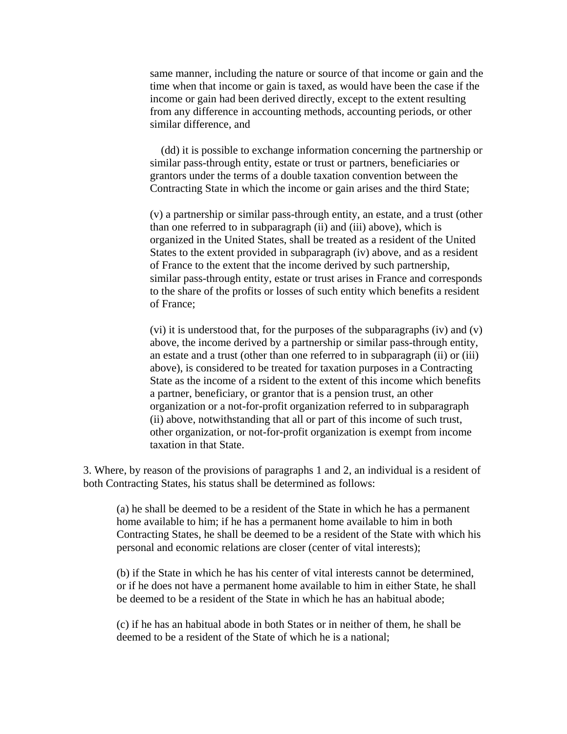same manner, including the nature or source of that income or gain and the time when that income or gain is taxed, as would have been the case if the income or gain had been derived directly, except to the extent resulting from any difference in accounting methods, accounting periods, or other similar difference, and

 (dd) it is possible to exchange information concerning the partnership or similar pass-through entity, estate or trust or partners, beneficiaries or grantors under the terms of a double taxation convention between the Contracting State in which the income or gain arises and the third State;

(v) a partnership or similar pass-through entity, an estate, and a trust (other than one referred to in subparagraph (ii) and (iii) above), which is organized in the United States, shall be treated as a resident of the United States to the extent provided in subparagraph (iv) above, and as a resident of France to the extent that the income derived by such partnership, similar pass-through entity, estate or trust arises in France and corresponds to the share of the profits or losses of such entity which benefits a resident of France;

(vi) it is understood that, for the purposes of the subparagraphs (iv) and (v) above, the income derived by a partnership or similar pass-through entity, an estate and a trust (other than one referred to in subparagraph (ii) or (iii) above), is considered to be treated for taxation purposes in a Contracting State as the income of a rsident to the extent of this income which benefits a partner, beneficiary, or grantor that is a pension trust, an other organization or a not-for-profit organization referred to in subparagraph (ii) above, notwithstanding that all or part of this income of such trust, other organization, or not-for-profit organization is exempt from income taxation in that State.

3. Where, by reason of the provisions of paragraphs 1 and 2, an individual is a resident of both Contracting States, his status shall be determined as follows:

(a) he shall be deemed to be a resident of the State in which he has a permanent home available to him; if he has a permanent home available to him in both Contracting States, he shall be deemed to be a resident of the State with which his personal and economic relations are closer (center of vital interests);

(b) if the State in which he has his center of vital interests cannot be determined, or if he does not have a permanent home available to him in either State, he shall be deemed to be a resident of the State in which he has an habitual abode;

(c) if he has an habitual abode in both States or in neither of them, he shall be deemed to be a resident of the State of which he is a national;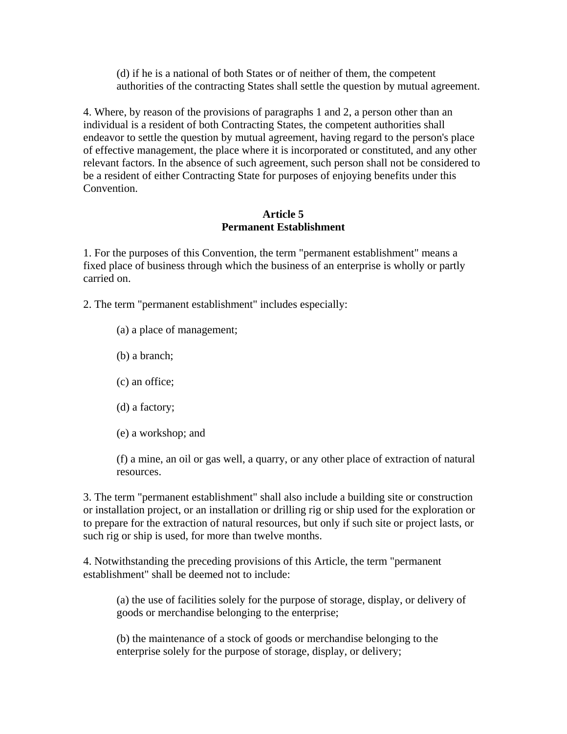(d) if he is a national of both States or of neither of them, the competent authorities of the contracting States shall settle the question by mutual agreement.

4. Where, by reason of the provisions of paragraphs 1 and 2, a person other than an individual is a resident of both Contracting States, the competent authorities shall endeavor to settle the question by mutual agreement, having regard to the person's place of effective management, the place where it is incorporated or constituted, and any other relevant factors. In the absence of such agreement, such person shall not be considered to be a resident of either Contracting State for purposes of enjoying benefits under this Convention.

### **Article 5 Permanent Establishment**

1. For the purposes of this Convention, the term "permanent establishment" means a fixed place of business through which the business of an enterprise is wholly or partly carried on.

2. The term "permanent establishment" includes especially:

(a) a place of management;

(b) a branch;

(c) an office;

(d) a factory;

(e) a workshop; and

(f) a mine, an oil or gas well, a quarry, or any other place of extraction of natural resources.

3. The term "permanent establishment" shall also include a building site or construction or installation project, or an installation or drilling rig or ship used for the exploration or to prepare for the extraction of natural resources, but only if such site or project lasts, or such rig or ship is used, for more than twelve months.

4. Notwithstanding the preceding provisions of this Article, the term "permanent establishment" shall be deemed not to include:

(a) the use of facilities solely for the purpose of storage, display, or delivery of goods or merchandise belonging to the enterprise;

(b) the maintenance of a stock of goods or merchandise belonging to the enterprise solely for the purpose of storage, display, or delivery;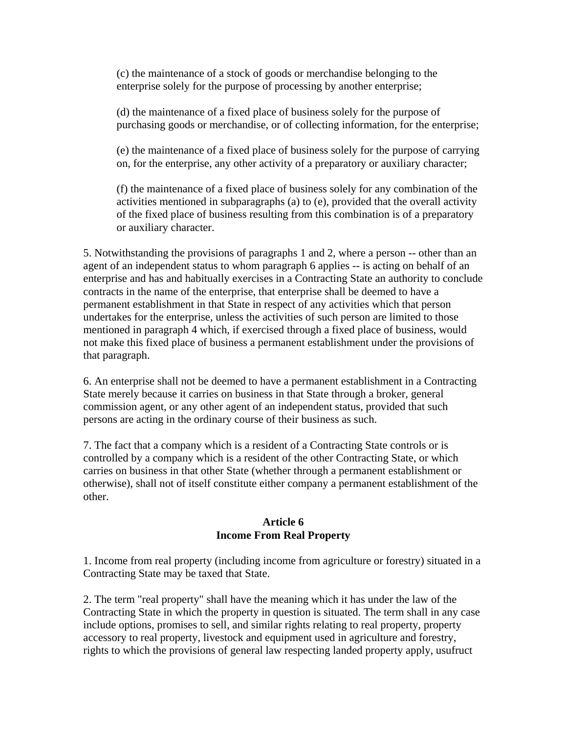(c) the maintenance of a stock of goods or merchandise belonging to the enterprise solely for the purpose of processing by another enterprise;

(d) the maintenance of a fixed place of business solely for the purpose of purchasing goods or merchandise, or of collecting information, for the enterprise;

(e) the maintenance of a fixed place of business solely for the purpose of carrying on, for the enterprise, any other activity of a preparatory or auxiliary character;

(f) the maintenance of a fixed place of business solely for any combination of the activities mentioned in subparagraphs (a) to (e), provided that the overall activity of the fixed place of business resulting from this combination is of a preparatory or auxiliary character.

5. Notwithstanding the provisions of paragraphs 1 and 2, where a person -- other than an agent of an independent status to whom paragraph 6 applies -- is acting on behalf of an enterprise and has and habitually exercises in a Contracting State an authority to conclude contracts in the name of the enterprise, that enterprise shall be deemed to have a permanent establishment in that State in respect of any activities which that person undertakes for the enterprise, unless the activities of such person are limited to those mentioned in paragraph 4 which, if exercised through a fixed place of business, would not make this fixed place of business a permanent establishment under the provisions of that paragraph.

6. An enterprise shall not be deemed to have a permanent establishment in a Contracting State merely because it carries on business in that State through a broker, general commission agent, or any other agent of an independent status, provided that such persons are acting in the ordinary course of their business as such.

7. The fact that a company which is a resident of a Contracting State controls or is controlled by a company which is a resident of the other Contracting State, or which carries on business in that other State (whether through a permanent establishment or otherwise), shall not of itself constitute either company a permanent establishment of the other.

### **Article 6 Income From Real Property**

1. Income from real property (including income from agriculture or forestry) situated in a Contracting State may be taxed that State.

2. The term "real property" shall have the meaning which it has under the law of the Contracting State in which the property in question is situated. The term shall in any case include options, promises to sell, and similar rights relating to real property, property accessory to real property, livestock and equipment used in agriculture and forestry, rights to which the provisions of general law respecting landed property apply, usufruct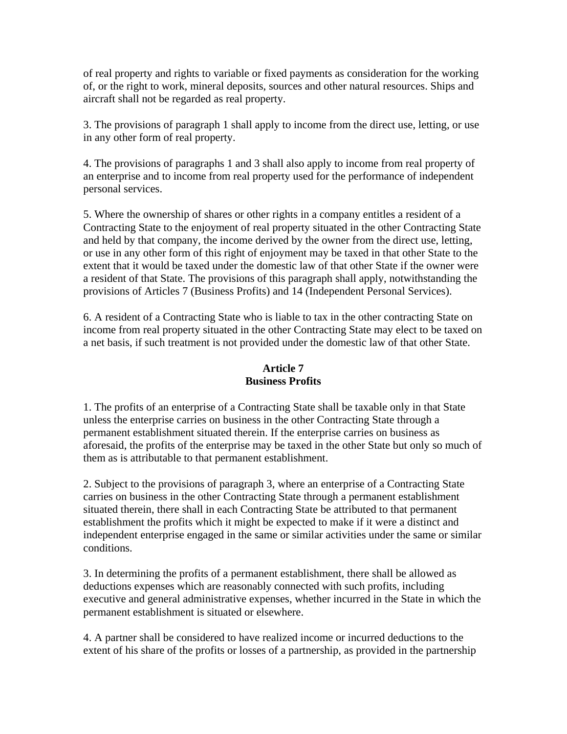of real property and rights to variable or fixed payments as consideration for the working of, or the right to work, mineral deposits, sources and other natural resources. Ships and aircraft shall not be regarded as real property.

3. The provisions of paragraph 1 shall apply to income from the direct use, letting, or use in any other form of real property.

4. The provisions of paragraphs 1 and 3 shall also apply to income from real property of an enterprise and to income from real property used for the performance of independent personal services.

5. Where the ownership of shares or other rights in a company entitles a resident of a Contracting State to the enjoyment of real property situated in the other Contracting State and held by that company, the income derived by the owner from the direct use, letting, or use in any other form of this right of enjoyment may be taxed in that other State to the extent that it would be taxed under the domestic law of that other State if the owner were a resident of that State. The provisions of this paragraph shall apply, notwithstanding the provisions of Articles 7 (Business Profits) and 14 (Independent Personal Services).

6. A resident of a Contracting State who is liable to tax in the other contracting State on income from real property situated in the other Contracting State may elect to be taxed on a net basis, if such treatment is not provided under the domestic law of that other State.

# **Article 7 Business Profits**

1. The profits of an enterprise of a Contracting State shall be taxable only in that State unless the enterprise carries on business in the other Contracting State through a permanent establishment situated therein. If the enterprise carries on business as aforesaid, the profits of the enterprise may be taxed in the other State but only so much of them as is attributable to that permanent establishment.

2. Subject to the provisions of paragraph 3, where an enterprise of a Contracting State carries on business in the other Contracting State through a permanent establishment situated therein, there shall in each Contracting State be attributed to that permanent establishment the profits which it might be expected to make if it were a distinct and independent enterprise engaged in the same or similar activities under the same or similar conditions.

3. In determining the profits of a permanent establishment, there shall be allowed as deductions expenses which are reasonably connected with such profits, including executive and general administrative expenses, whether incurred in the State in which the permanent establishment is situated or elsewhere.

4. A partner shall be considered to have realized income or incurred deductions to the extent of his share of the profits or losses of a partnership, as provided in the partnership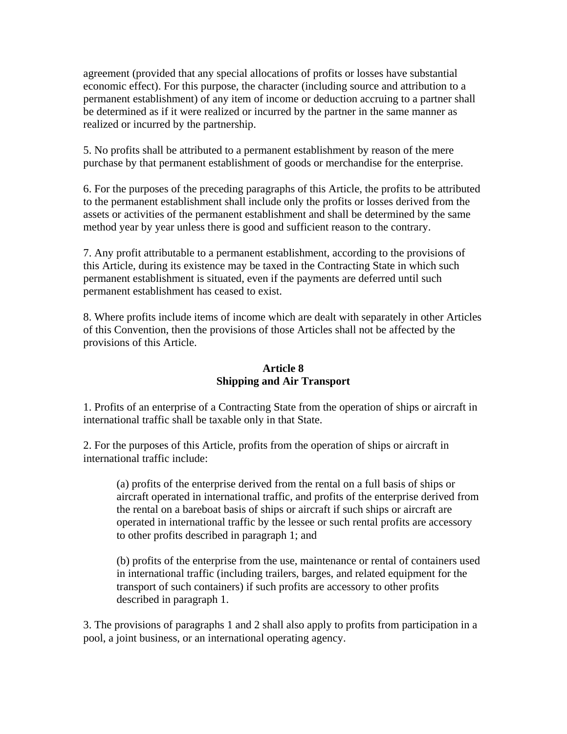agreement (provided that any special allocations of profits or losses have substantial economic effect). For this purpose, the character (including source and attribution to a permanent establishment) of any item of income or deduction accruing to a partner shall be determined as if it were realized or incurred by the partner in the same manner as realized or incurred by the partnership.

5. No profits shall be attributed to a permanent establishment by reason of the mere purchase by that permanent establishment of goods or merchandise for the enterprise.

6. For the purposes of the preceding paragraphs of this Article, the profits to be attributed to the permanent establishment shall include only the profits or losses derived from the assets or activities of the permanent establishment and shall be determined by the same method year by year unless there is good and sufficient reason to the contrary.

7. Any profit attributable to a permanent establishment, according to the provisions of this Article, during its existence may be taxed in the Contracting State in which such permanent establishment is situated, even if the payments are deferred until such permanent establishment has ceased to exist.

8. Where profits include items of income which are dealt with separately in other Articles of this Convention, then the provisions of those Articles shall not be affected by the provisions of this Article.

## **Article 8 Shipping and Air Transport**

1. Profits of an enterprise of a Contracting State from the operation of ships or aircraft in international traffic shall be taxable only in that State.

2. For the purposes of this Article, profits from the operation of ships or aircraft in international traffic include:

(a) profits of the enterprise derived from the rental on a full basis of ships or aircraft operated in international traffic, and profits of the enterprise derived from the rental on a bareboat basis of ships or aircraft if such ships or aircraft are operated in international traffic by the lessee or such rental profits are accessory to other profits described in paragraph 1; and

(b) profits of the enterprise from the use, maintenance or rental of containers used in international traffic (including trailers, barges, and related equipment for the transport of such containers) if such profits are accessory to other profits described in paragraph 1.

3. The provisions of paragraphs 1 and 2 shall also apply to profits from participation in a pool, a joint business, or an international operating agency.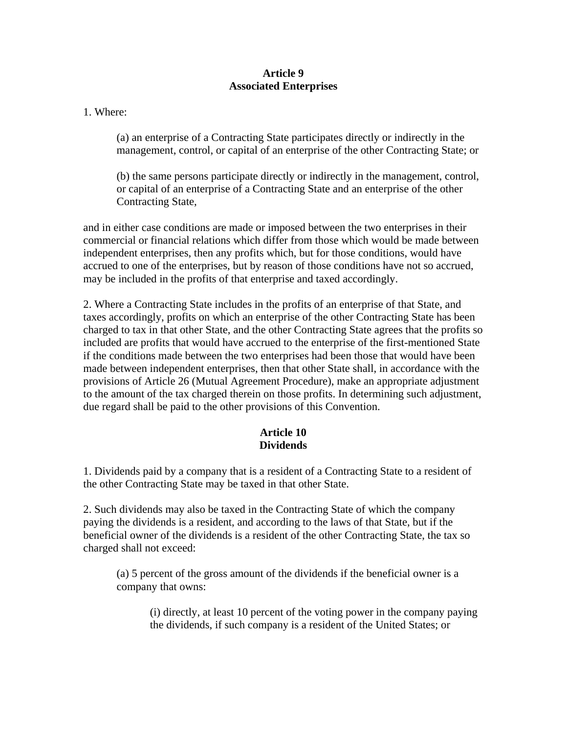## **Article 9 Associated Enterprises**

## 1. Where:

(a) an enterprise of a Contracting State participates directly or indirectly in the management, control, or capital of an enterprise of the other Contracting State; or

(b) the same persons participate directly or indirectly in the management, control, or capital of an enterprise of a Contracting State and an enterprise of the other Contracting State,

and in either case conditions are made or imposed between the two enterprises in their commercial or financial relations which differ from those which would be made between independent enterprises, then any profits which, but for those conditions, would have accrued to one of the enterprises, but by reason of those conditions have not so accrued, may be included in the profits of that enterprise and taxed accordingly.

2. Where a Contracting State includes in the profits of an enterprise of that State, and taxes accordingly, profits on which an enterprise of the other Contracting State has been charged to tax in that other State, and the other Contracting State agrees that the profits so included are profits that would have accrued to the enterprise of the first-mentioned State if the conditions made between the two enterprises had been those that would have been made between independent enterprises, then that other State shall, in accordance with the provisions of Article 26 (Mutual Agreement Procedure), make an appropriate adjustment to the amount of the tax charged therein on those profits. In determining such adjustment, due regard shall be paid to the other provisions of this Convention.

# **Article 10 Dividends**

1. Dividends paid by a company that is a resident of a Contracting State to a resident of the other Contracting State may be taxed in that other State.

2. Such dividends may also be taxed in the Contracting State of which the company paying the dividends is a resident, and according to the laws of that State, but if the beneficial owner of the dividends is a resident of the other Contracting State, the tax so charged shall not exceed:

(a) 5 percent of the gross amount of the dividends if the beneficial owner is a company that owns:

(i) directly, at least 10 percent of the voting power in the company paying the dividends, if such company is a resident of the United States; or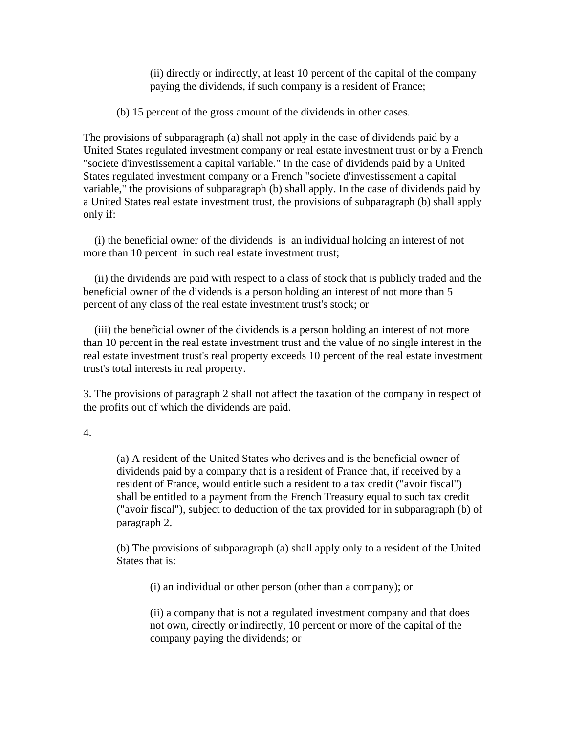(ii) directly or indirectly, at least 10 percent of the capital of the company paying the dividends, if such company is a resident of France;

(b) 15 percent of the gross amount of the dividends in other cases.

The provisions of subparagraph (a) shall not apply in the case of dividends paid by a United States regulated investment company or real estate investment trust or by a French "societe d'investissement a capital variable." In the case of dividends paid by a United States regulated investment company or a French "societe d'investissement a capital variable," the provisions of subparagraph (b) shall apply. In the case of dividends paid by a United States real estate investment trust, the provisions of subparagraph (b) shall apply only if:

 (i) the beneficial owner of the dividends is an individual holding an interest of not more than 10 percent in such real estate investment trust;

 (ii) the dividends are paid with respect to a class of stock that is publicly traded and the beneficial owner of the dividends is a person holding an interest of not more than 5 percent of any class of the real estate investment trust's stock; or

 (iii) the beneficial owner of the dividends is a person holding an interest of not more than 10 percent in the real estate investment trust and the value of no single interest in the real estate investment trust's real property exceeds 10 percent of the real estate investment trust's total interests in real property.

3. The provisions of paragraph 2 shall not affect the taxation of the company in respect of the profits out of which the dividends are paid.

4.

(a) A resident of the United States who derives and is the beneficial owner of dividends paid by a company that is a resident of France that, if received by a resident of France, would entitle such a resident to a tax credit ("avoir fiscal") shall be entitled to a payment from the French Treasury equal to such tax credit ("avoir fiscal"), subject to deduction of the tax provided for in subparagraph (b) of paragraph 2.

(b) The provisions of subparagraph (a) shall apply only to a resident of the United States that is:

(i) an individual or other person (other than a company); or

(ii) a company that is not a regulated investment company and that does not own, directly or indirectly, 10 percent or more of the capital of the company paying the dividends; or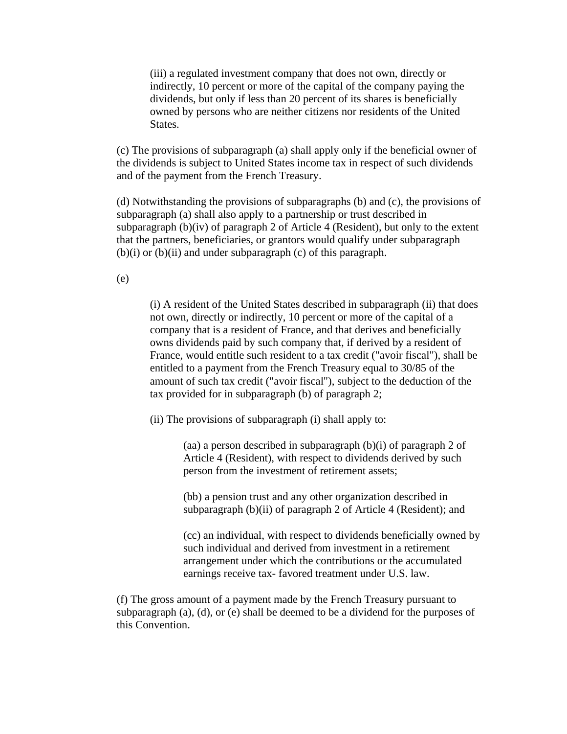(iii) a regulated investment company that does not own, directly or indirectly, 10 percent or more of the capital of the company paying the dividends, but only if less than 20 percent of its shares is beneficially owned by persons who are neither citizens nor residents of the United States.

(c) The provisions of subparagraph (a) shall apply only if the beneficial owner of the dividends is subject to United States income tax in respect of such dividends and of the payment from the French Treasury.

(d) Notwithstanding the provisions of subparagraphs (b) and (c), the provisions of subparagraph (a) shall also apply to a partnership or trust described in subparagraph  $(b)(iv)$  of paragraph 2 of Article 4 (Resident), but only to the extent that the partners, beneficiaries, or grantors would qualify under subparagraph (b)(i) or (b)(ii) and under subparagraph (c) of this paragraph.

(e)

(i) A resident of the United States described in subparagraph (ii) that does not own, directly or indirectly, 10 percent or more of the capital of a company that is a resident of France, and that derives and beneficially owns dividends paid by such company that, if derived by a resident of France, would entitle such resident to a tax credit ("avoir fiscal"), shall be entitled to a payment from the French Treasury equal to 30/85 of the amount of such tax credit ("avoir fiscal"), subject to the deduction of the tax provided for in subparagraph (b) of paragraph 2;

(ii) The provisions of subparagraph (i) shall apply to:

(aa) a person described in subparagraph (b)(i) of paragraph 2 of Article 4 (Resident), with respect to dividends derived by such person from the investment of retirement assets;

(bb) a pension trust and any other organization described in subparagraph (b)(ii) of paragraph 2 of Article 4 (Resident); and

(cc) an individual, with respect to dividends beneficially owned by such individual and derived from investment in a retirement arrangement under which the contributions or the accumulated earnings receive tax- favored treatment under U.S. law.

(f) The gross amount of a payment made by the French Treasury pursuant to subparagraph (a), (d), or (e) shall be deemed to be a dividend for the purposes of this Convention.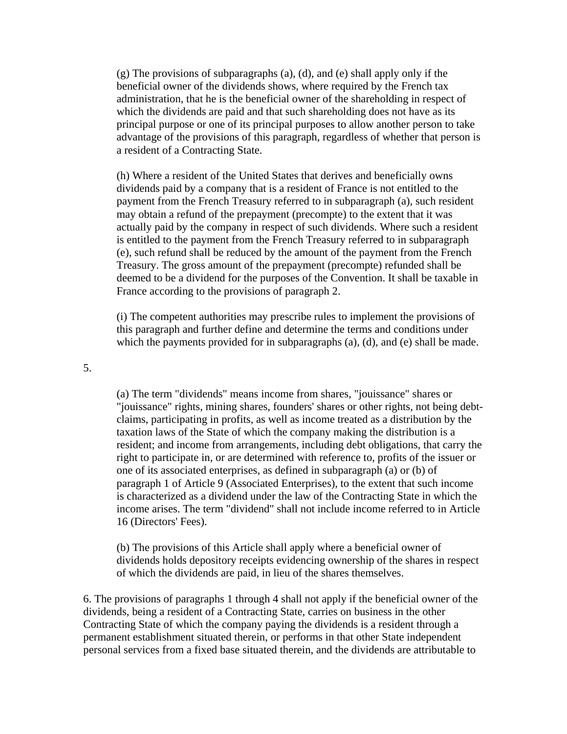(g) The provisions of subparagraphs (a), (d), and (e) shall apply only if the beneficial owner of the dividends shows, where required by the French tax administration, that he is the beneficial owner of the shareholding in respect of which the dividends are paid and that such shareholding does not have as its principal purpose or one of its principal purposes to allow another person to take advantage of the provisions of this paragraph, regardless of whether that person is a resident of a Contracting State.

(h) Where a resident of the United States that derives and beneficially owns dividends paid by a company that is a resident of France is not entitled to the payment from the French Treasury referred to in subparagraph (a), such resident may obtain a refund of the prepayment (precompte) to the extent that it was actually paid by the company in respect of such dividends. Where such a resident is entitled to the payment from the French Treasury referred to in subparagraph (e), such refund shall be reduced by the amount of the payment from the French Treasury. The gross amount of the prepayment (precompte) refunded shall be deemed to be a dividend for the purposes of the Convention. It shall be taxable in France according to the provisions of paragraph 2.

(i) The competent authorities may prescribe rules to implement the provisions of this paragraph and further define and determine the terms and conditions under which the payments provided for in subparagraphs (a), (d), and (e) shall be made.

#### 5.

(a) The term "dividends" means income from shares, "jouissance" shares or "jouissance" rights, mining shares, founders' shares or other rights, not being debtclaims, participating in profits, as well as income treated as a distribution by the taxation laws of the State of which the company making the distribution is a resident; and income from arrangements, including debt obligations, that carry the right to participate in, or are determined with reference to, profits of the issuer or one of its associated enterprises, as defined in subparagraph (a) or (b) of paragraph 1 of Article 9 (Associated Enterprises), to the extent that such income is characterized as a dividend under the law of the Contracting State in which the income arises. The term "dividend" shall not include income referred to in Article 16 (Directors' Fees).

(b) The provisions of this Article shall apply where a beneficial owner of dividends holds depository receipts evidencing ownership of the shares in respect of which the dividends are paid, in lieu of the shares themselves.

6. The provisions of paragraphs 1 through 4 shall not apply if the beneficial owner of the dividends, being a resident of a Contracting State, carries on business in the other Contracting State of which the company paying the dividends is a resident through a permanent establishment situated therein, or performs in that other State independent personal services from a fixed base situated therein, and the dividends are attributable to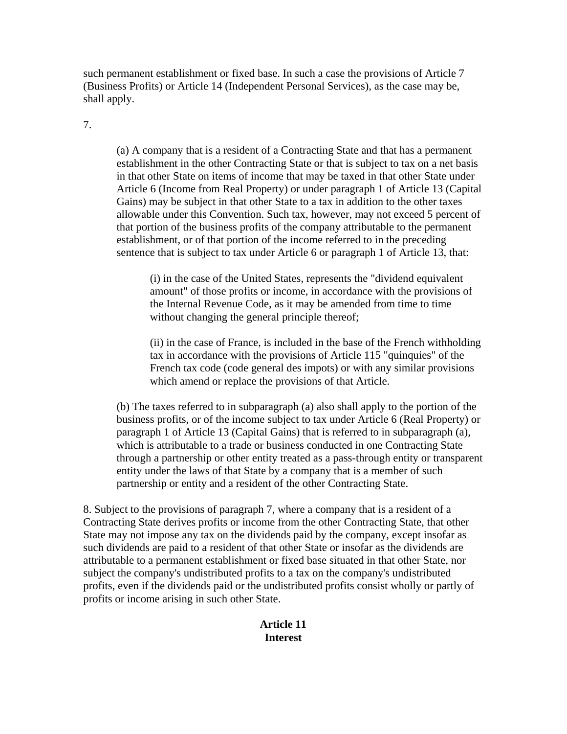such permanent establishment or fixed base. In such a case the provisions of Article 7 (Business Profits) or Article 14 (Independent Personal Services), as the case may be, shall apply.

7.

(a) A company that is a resident of a Contracting State and that has a permanent establishment in the other Contracting State or that is subject to tax on a net basis in that other State on items of income that may be taxed in that other State under Article 6 (Income from Real Property) or under paragraph 1 of Article 13 (Capital Gains) may be subject in that other State to a tax in addition to the other taxes allowable under this Convention. Such tax, however, may not exceed 5 percent of that portion of the business profits of the company attributable to the permanent establishment, or of that portion of the income referred to in the preceding sentence that is subject to tax under Article 6 or paragraph 1 of Article 13, that:

(i) in the case of the United States, represents the "dividend equivalent amount" of those profits or income, in accordance with the provisions of the Internal Revenue Code, as it may be amended from time to time without changing the general principle thereof;

(ii) in the case of France, is included in the base of the French withholding tax in accordance with the provisions of Article 115 "quinquies" of the French tax code (code general des impots) or with any similar provisions which amend or replace the provisions of that Article.

(b) The taxes referred to in subparagraph (a) also shall apply to the portion of the business profits, or of the income subject to tax under Article 6 (Real Property) or paragraph 1 of Article 13 (Capital Gains) that is referred to in subparagraph (a), which is attributable to a trade or business conducted in one Contracting State through a partnership or other entity treated as a pass-through entity or transparent entity under the laws of that State by a company that is a member of such partnership or entity and a resident of the other Contracting State.

8. Subject to the provisions of paragraph 7, where a company that is a resident of a Contracting State derives profits or income from the other Contracting State, that other State may not impose any tax on the dividends paid by the company, except insofar as such dividends are paid to a resident of that other State or insofar as the dividends are attributable to a permanent establishment or fixed base situated in that other State, nor subject the company's undistributed profits to a tax on the company's undistributed profits, even if the dividends paid or the undistributed profits consist wholly or partly of profits or income arising in such other State.

# **Article 11 Interest**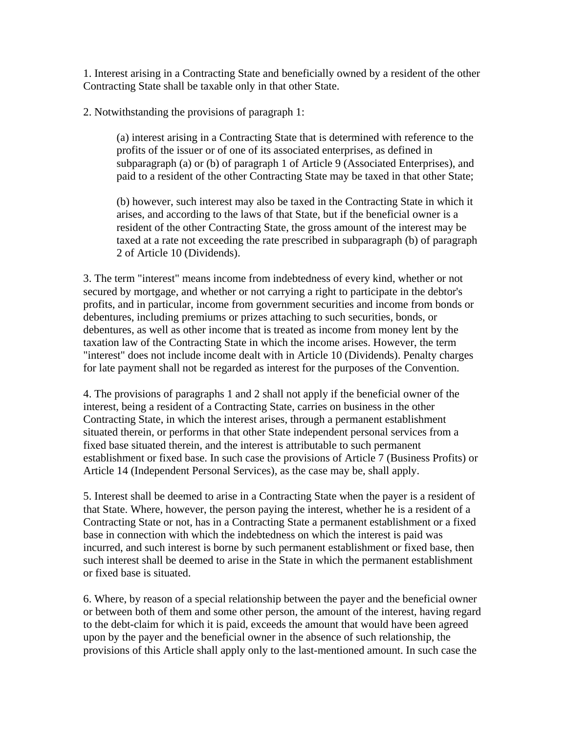1. Interest arising in a Contracting State and beneficially owned by a resident of the other Contracting State shall be taxable only in that other State.

2. Notwithstanding the provisions of paragraph 1:

(a) interest arising in a Contracting State that is determined with reference to the profits of the issuer or of one of its associated enterprises, as defined in subparagraph (a) or (b) of paragraph 1 of Article 9 (Associated Enterprises), and paid to a resident of the other Contracting State may be taxed in that other State;

(b) however, such interest may also be taxed in the Contracting State in which it arises, and according to the laws of that State, but if the beneficial owner is a resident of the other Contracting State, the gross amount of the interest may be taxed at a rate not exceeding the rate prescribed in subparagraph (b) of paragraph 2 of Article 10 (Dividends).

3. The term "interest" means income from indebtedness of every kind, whether or not secured by mortgage, and whether or not carrying a right to participate in the debtor's profits, and in particular, income from government securities and income from bonds or debentures, including premiums or prizes attaching to such securities, bonds, or debentures, as well as other income that is treated as income from money lent by the taxation law of the Contracting State in which the income arises. However, the term "interest" does not include income dealt with in Article 10 (Dividends). Penalty charges for late payment shall not be regarded as interest for the purposes of the Convention.

4. The provisions of paragraphs 1 and 2 shall not apply if the beneficial owner of the interest, being a resident of a Contracting State, carries on business in the other Contracting State, in which the interest arises, through a permanent establishment situated therein, or performs in that other State independent personal services from a fixed base situated therein, and the interest is attributable to such permanent establishment or fixed base. In such case the provisions of Article 7 (Business Profits) or Article 14 (Independent Personal Services), as the case may be, shall apply.

5. Interest shall be deemed to arise in a Contracting State when the payer is a resident of that State. Where, however, the person paying the interest, whether he is a resident of a Contracting State or not, has in a Contracting State a permanent establishment or a fixed base in connection with which the indebtedness on which the interest is paid was incurred, and such interest is borne by such permanent establishment or fixed base, then such interest shall be deemed to arise in the State in which the permanent establishment or fixed base is situated.

6. Where, by reason of a special relationship between the payer and the beneficial owner or between both of them and some other person, the amount of the interest, having regard to the debt-claim for which it is paid, exceeds the amount that would have been agreed upon by the payer and the beneficial owner in the absence of such relationship, the provisions of this Article shall apply only to the last-mentioned amount. In such case the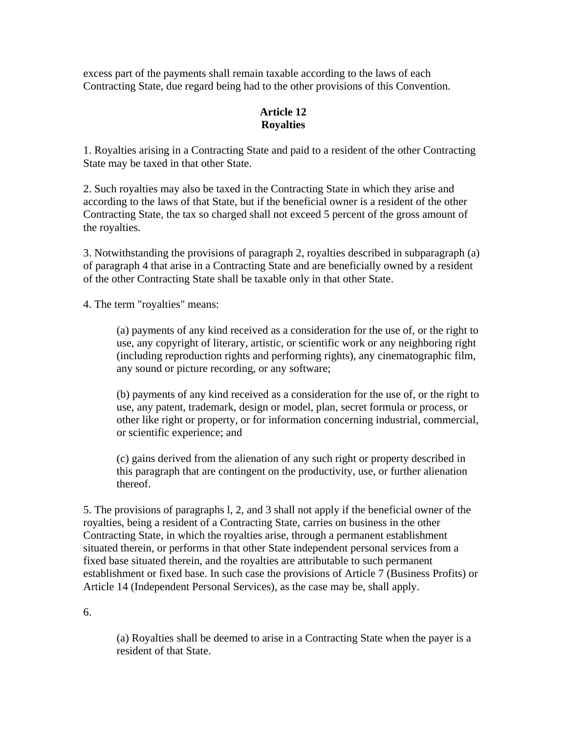excess part of the payments shall remain taxable according to the laws of each Contracting State, due regard being had to the other provisions of this Convention.

# **Article 12 Royalties**

1. Royalties arising in a Contracting State and paid to a resident of the other Contracting State may be taxed in that other State.

2. Such royalties may also be taxed in the Contracting State in which they arise and according to the laws of that State, but if the beneficial owner is a resident of the other Contracting State, the tax so charged shall not exceed 5 percent of the gross amount of the royalties.

3. Notwithstanding the provisions of paragraph 2, royalties described in subparagraph (a) of paragraph 4 that arise in a Contracting State and are beneficially owned by a resident of the other Contracting State shall be taxable only in that other State.

4. The term "royalties" means:

(a) payments of any kind received as a consideration for the use of, or the right to use, any copyright of literary, artistic, or scientific work or any neighboring right (including reproduction rights and performing rights), any cinematographic film, any sound or picture recording, or any software;

(b) payments of any kind received as a consideration for the use of, or the right to use, any patent, trademark, design or model, plan, secret formula or process, or other like right or property, or for information concerning industrial, commercial, or scientific experience; and

(c) gains derived from the alienation of any such right or property described in this paragraph that are contingent on the productivity, use, or further alienation thereof.

5. The provisions of paragraphs l, 2, and 3 shall not apply if the beneficial owner of the royalties, being a resident of a Contracting State, carries on business in the other Contracting State, in which the royalties arise, through a permanent establishment situated therein, or performs in that other State independent personal services from a fixed base situated therein, and the royalties are attributable to such permanent establishment or fixed base. In such case the provisions of Article 7 (Business Profits) or Article 14 (Independent Personal Services), as the case may be, shall apply.

6.

(a) Royalties shall be deemed to arise in a Contracting State when the payer is a resident of that State.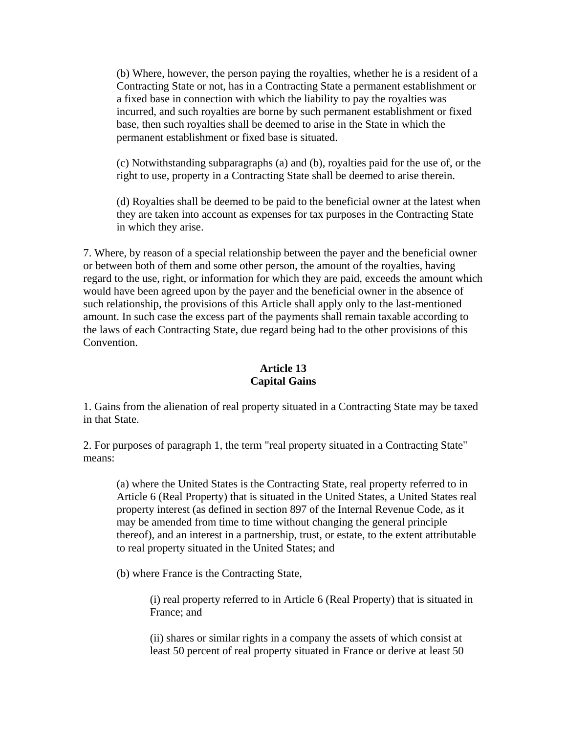(b) Where, however, the person paying the royalties, whether he is a resident of a Contracting State or not, has in a Contracting State a permanent establishment or a fixed base in connection with which the liability to pay the royalties was incurred, and such royalties are borne by such permanent establishment or fixed base, then such royalties shall be deemed to arise in the State in which the permanent establishment or fixed base is situated.

(c) Notwithstanding subparagraphs (a) and (b), royalties paid for the use of, or the right to use, property in a Contracting State shall be deemed to arise therein.

(d) Royalties shall be deemed to be paid to the beneficial owner at the latest when they are taken into account as expenses for tax purposes in the Contracting State in which they arise.

7. Where, by reason of a special relationship between the payer and the beneficial owner or between both of them and some other person, the amount of the royalties, having regard to the use, right, or information for which they are paid, exceeds the amount which would have been agreed upon by the payer and the beneficial owner in the absence of such relationship, the provisions of this Article shall apply only to the last-mentioned amount. In such case the excess part of the payments shall remain taxable according to the laws of each Contracting State, due regard being had to the other provisions of this Convention.

## **Article 13 Capital Gains**

1. Gains from the alienation of real property situated in a Contracting State may be taxed in that State.

2. For purposes of paragraph 1, the term "real property situated in a Contracting State" means:

(a) where the United States is the Contracting State, real property referred to in Article 6 (Real Property) that is situated in the United States, a United States real property interest (as defined in section 897 of the Internal Revenue Code, as it may be amended from time to time without changing the general principle thereof), and an interest in a partnership, trust, or estate, to the extent attributable to real property situated in the United States; and

(b) where France is the Contracting State,

(i) real property referred to in Article 6 (Real Property) that is situated in France; and

(ii) shares or similar rights in a company the assets of which consist at least 50 percent of real property situated in France or derive at least 50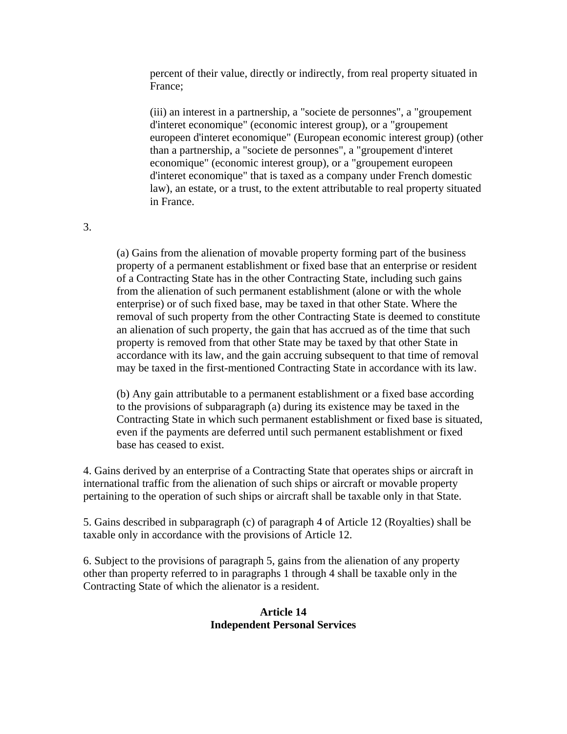percent of their value, directly or indirectly, from real property situated in France;

(iii) an interest in a partnership, a "societe de personnes", a "groupement d'interet economique" (economic interest group), or a "groupement europeen d'interet economique" (European economic interest group) (other than a partnership, a "societe de personnes", a "groupement d'interet economique" (economic interest group), or a "groupement europeen d'interet economique" that is taxed as a company under French domestic law), an estate, or a trust, to the extent attributable to real property situated in France.

3.

(a) Gains from the alienation of movable property forming part of the business property of a permanent establishment or fixed base that an enterprise or resident of a Contracting State has in the other Contracting State, including such gains from the alienation of such permanent establishment (alone or with the whole enterprise) or of such fixed base, may be taxed in that other State. Where the removal of such property from the other Contracting State is deemed to constitute an alienation of such property, the gain that has accrued as of the time that such property is removed from that other State may be taxed by that other State in accordance with its law, and the gain accruing subsequent to that time of removal may be taxed in the first-mentioned Contracting State in accordance with its law.

(b) Any gain attributable to a permanent establishment or a fixed base according to the provisions of subparagraph (a) during its existence may be taxed in the Contracting State in which such permanent establishment or fixed base is situated, even if the payments are deferred until such permanent establishment or fixed base has ceased to exist.

4. Gains derived by an enterprise of a Contracting State that operates ships or aircraft in international traffic from the alienation of such ships or aircraft or movable property pertaining to the operation of such ships or aircraft shall be taxable only in that State.

5. Gains described in subparagraph (c) of paragraph 4 of Article 12 (Royalties) shall be taxable only in accordance with the provisions of Article 12.

6. Subject to the provisions of paragraph 5, gains from the alienation of any property other than property referred to in paragraphs 1 through 4 shall be taxable only in the Contracting State of which the alienator is a resident.

### **Article 14 Independent Personal Services**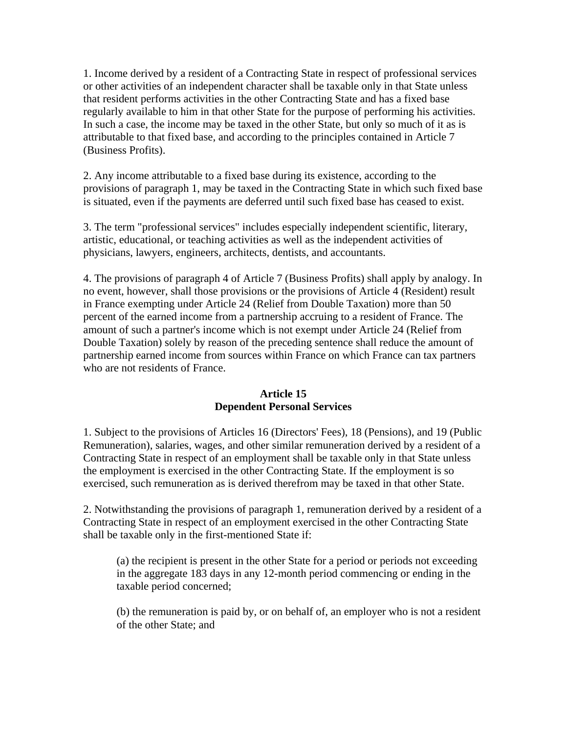1. Income derived by a resident of a Contracting State in respect of professional services or other activities of an independent character shall be taxable only in that State unless that resident performs activities in the other Contracting State and has a fixed base regularly available to him in that other State for the purpose of performing his activities. In such a case, the income may be taxed in the other State, but only so much of it as is attributable to that fixed base, and according to the principles contained in Article 7 (Business Profits).

2. Any income attributable to a fixed base during its existence, according to the provisions of paragraph 1, may be taxed in the Contracting State in which such fixed base is situated, even if the payments are deferred until such fixed base has ceased to exist.

3. The term "professional services" includes especially independent scientific, literary, artistic, educational, or teaching activities as well as the independent activities of physicians, lawyers, engineers, architects, dentists, and accountants.

4. The provisions of paragraph 4 of Article 7 (Business Profits) shall apply by analogy. In no event, however, shall those provisions or the provisions of Article 4 (Resident) result in France exempting under Article 24 (Relief from Double Taxation) more than 50 percent of the earned income from a partnership accruing to a resident of France. The amount of such a partner's income which is not exempt under Article 24 (Relief from Double Taxation) solely by reason of the preceding sentence shall reduce the amount of partnership earned income from sources within France on which France can tax partners who are not residents of France.

### **Article 15 Dependent Personal Services**

1. Subject to the provisions of Articles 16 (Directors' Fees), 18 (Pensions), and 19 (Public Remuneration), salaries, wages, and other similar remuneration derived by a resident of a Contracting State in respect of an employment shall be taxable only in that State unless the employment is exercised in the other Contracting State. If the employment is so exercised, such remuneration as is derived therefrom may be taxed in that other State.

2. Notwithstanding the provisions of paragraph 1, remuneration derived by a resident of a Contracting State in respect of an employment exercised in the other Contracting State shall be taxable only in the first-mentioned State if:

(a) the recipient is present in the other State for a period or periods not exceeding in the aggregate 183 days in any 12-month period commencing or ending in the taxable period concerned;

(b) the remuneration is paid by, or on behalf of, an employer who is not a resident of the other State; and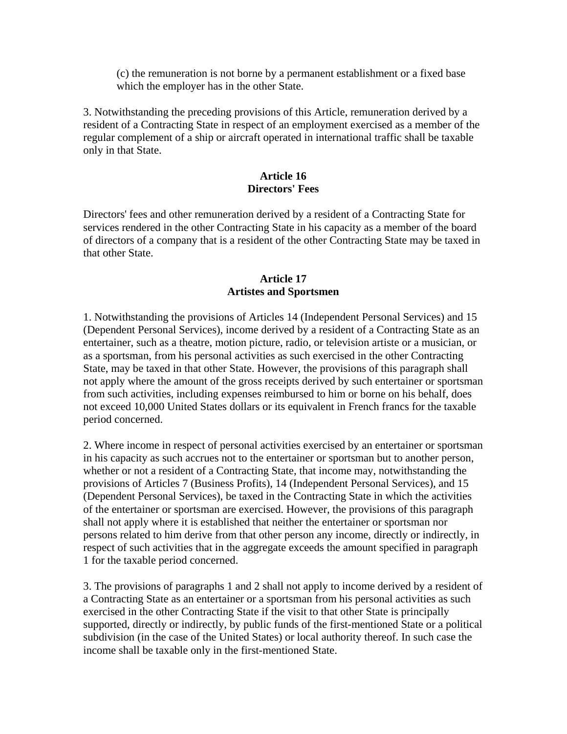(c) the remuneration is not borne by a permanent establishment or a fixed base which the employer has in the other State.

3. Notwithstanding the preceding provisions of this Article, remuneration derived by a resident of a Contracting State in respect of an employment exercised as a member of the regular complement of a ship or aircraft operated in international traffic shall be taxable only in that State.

## **Article 16 Directors' Fees**

Directors' fees and other remuneration derived by a resident of a Contracting State for services rendered in the other Contracting State in his capacity as a member of the board of directors of a company that is a resident of the other Contracting State may be taxed in that other State.

### **Article 17 Artistes and Sportsmen**

1. Notwithstanding the provisions of Articles 14 (Independent Personal Services) and 15 (Dependent Personal Services), income derived by a resident of a Contracting State as an entertainer, such as a theatre, motion picture, radio, or television artiste or a musician, or as a sportsman, from his personal activities as such exercised in the other Contracting State, may be taxed in that other State. However, the provisions of this paragraph shall not apply where the amount of the gross receipts derived by such entertainer or sportsman from such activities, including expenses reimbursed to him or borne on his behalf, does not exceed 10,000 United States dollars or its equivalent in French francs for the taxable period concerned.

2. Where income in respect of personal activities exercised by an entertainer or sportsman in his capacity as such accrues not to the entertainer or sportsman but to another person, whether or not a resident of a Contracting State, that income may, notwithstanding the provisions of Articles 7 (Business Profits), 14 (Independent Personal Services), and 15 (Dependent Personal Services), be taxed in the Contracting State in which the activities of the entertainer or sportsman are exercised. However, the provisions of this paragraph shall not apply where it is established that neither the entertainer or sportsman nor persons related to him derive from that other person any income, directly or indirectly, in respect of such activities that in the aggregate exceeds the amount specified in paragraph 1 for the taxable period concerned.

3. The provisions of paragraphs 1 and 2 shall not apply to income derived by a resident of a Contracting State as an entertainer or a sportsman from his personal activities as such exercised in the other Contracting State if the visit to that other State is principally supported, directly or indirectly, by public funds of the first-mentioned State or a political subdivision (in the case of the United States) or local authority thereof. In such case the income shall be taxable only in the first-mentioned State.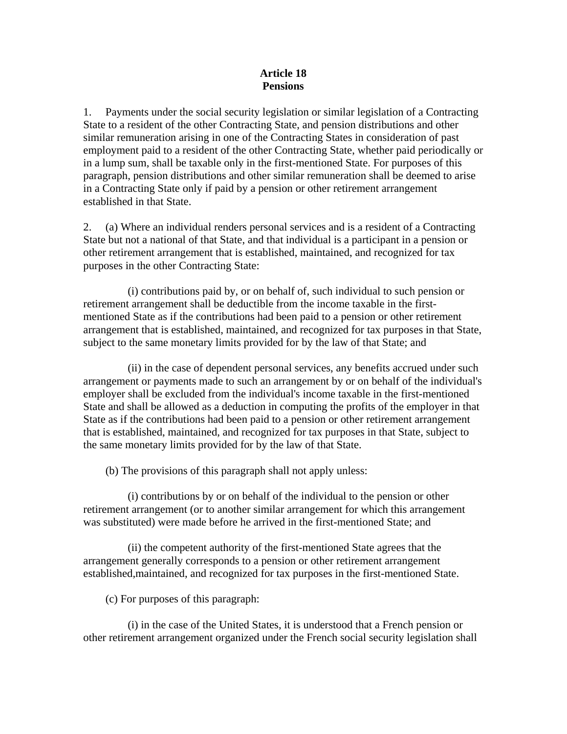## **Article 18 Pensions**

1. Payments under the social security legislation or similar legislation of a Contracting State to a resident of the other Contracting State, and pension distributions and other similar remuneration arising in one of the Contracting States in consideration of past employment paid to a resident of the other Contracting State, whether paid periodically or in a lump sum, shall be taxable only in the first-mentioned State. For purposes of this paragraph, pension distributions and other similar remuneration shall be deemed to arise in a Contracting State only if paid by a pension or other retirement arrangement established in that State.

2. (a) Where an individual renders personal services and is a resident of a Contracting State but not a national of that State, and that individual is a participant in a pension or other retirement arrangement that is established, maintained, and recognized for tax purposes in the other Contracting State:

 (i) contributions paid by, or on behalf of, such individual to such pension or retirement arrangement shall be deductible from the income taxable in the firstmentioned State as if the contributions had been paid to a pension or other retirement arrangement that is established, maintained, and recognized for tax purposes in that State, subject to the same monetary limits provided for by the law of that State; and

 (ii) in the case of dependent personal services, any benefits accrued under such arrangement or payments made to such an arrangement by or on behalf of the individual's employer shall be excluded from the individual's income taxable in the first-mentioned State and shall be allowed as a deduction in computing the profits of the employer in that State as if the contributions had been paid to a pension or other retirement arrangement that is established, maintained, and recognized for tax purposes in that State, subject to the same monetary limits provided for by the law of that State.

(b) The provisions of this paragraph shall not apply unless:

 (i) contributions by or on behalf of the individual to the pension or other retirement arrangement (or to another similar arrangement for which this arrangement was substituted) were made before he arrived in the first-mentioned State; and

 (ii) the competent authority of the first-mentioned State agrees that the arrangement generally corresponds to a pension or other retirement arrangement established,maintained, and recognized for tax purposes in the first-mentioned State.

(c) For purposes of this paragraph:

 (i) in the case of the United States, it is understood that a French pension or other retirement arrangement organized under the French social security legislation shall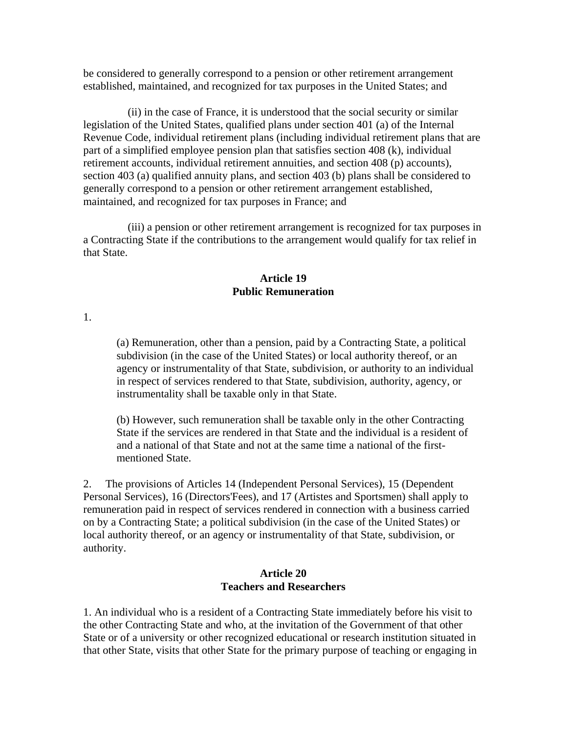be considered to generally correspond to a pension or other retirement arrangement established, maintained, and recognized for tax purposes in the United States; and

 (ii) in the case of France, it is understood that the social security or similar legislation of the United States, qualified plans under section 401 (a) of the Internal Revenue Code, individual retirement plans (including individual retirement plans that are part of a simplified employee pension plan that satisfies section 408 (k), individual retirement accounts, individual retirement annuities, and section 408 (p) accounts), section 403 (a) qualified annuity plans, and section 403 (b) plans shall be considered to generally correspond to a pension or other retirement arrangement established, maintained, and recognized for tax purposes in France; and

 (iii) a pension or other retirement arrangement is recognized for tax purposes in a Contracting State if the contributions to the arrangement would qualify for tax relief in that State.

#### **Article 19 Public Remuneration**

1.

(a) Remuneration, other than a pension, paid by a Contracting State, a political subdivision (in the case of the United States) or local authority thereof, or an agency or instrumentality of that State, subdivision, or authority to an individual in respect of services rendered to that State, subdivision, authority, agency, or instrumentality shall be taxable only in that State.

(b) However, such remuneration shall be taxable only in the other Contracting State if the services are rendered in that State and the individual is a resident of and a national of that State and not at the same time a national of the firstmentioned State.

2. The provisions of Articles 14 (Independent Personal Services), 15 (Dependent Personal Services), 16 (Directors'Fees), and 17 (Artistes and Sportsmen) shall apply to remuneration paid in respect of services rendered in connection with a business carried on by a Contracting State; a political subdivision (in the case of the United States) or local authority thereof, or an agency or instrumentality of that State, subdivision, or authority.

### **Article 20 Teachers and Researchers**

1. An individual who is a resident of a Contracting State immediately before his visit to the other Contracting State and who, at the invitation of the Government of that other State or of a university or other recognized educational or research institution situated in that other State, visits that other State for the primary purpose of teaching or engaging in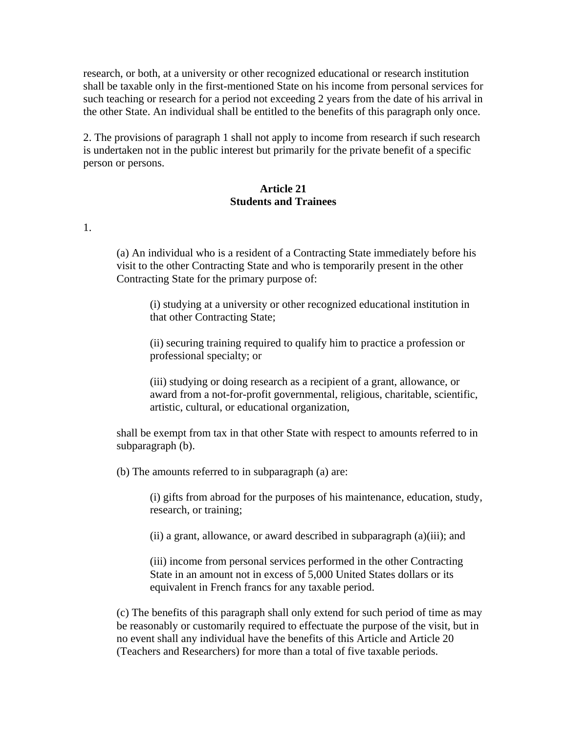research, or both, at a university or other recognized educational or research institution shall be taxable only in the first-mentioned State on his income from personal services for such teaching or research for a period not exceeding 2 years from the date of his arrival in the other State. An individual shall be entitled to the benefits of this paragraph only once.

2. The provisions of paragraph 1 shall not apply to income from research if such research is undertaken not in the public interest but primarily for the private benefit of a specific person or persons.

## **Article 21 Students and Trainees**

#### 1.

(a) An individual who is a resident of a Contracting State immediately before his visit to the other Contracting State and who is temporarily present in the other Contracting State for the primary purpose of:

(i) studying at a university or other recognized educational institution in that other Contracting State;

(ii) securing training required to qualify him to practice a profession or professional specialty; or

(iii) studying or doing research as a recipient of a grant, allowance, or award from a not-for-profit governmental, religious, charitable, scientific, artistic, cultural, or educational organization,

shall be exempt from tax in that other State with respect to amounts referred to in subparagraph (b).

(b) The amounts referred to in subparagraph (a) are:

(i) gifts from abroad for the purposes of his maintenance, education, study, research, or training;

(ii) a grant, allowance, or award described in subparagraph (a)(iii); and

(iii) income from personal services performed in the other Contracting State in an amount not in excess of 5,000 United States dollars or its equivalent in French francs for any taxable period.

(c) The benefits of this paragraph shall only extend for such period of time as may be reasonably or customarily required to effectuate the purpose of the visit, but in no event shall any individual have the benefits of this Article and Article 20 (Teachers and Researchers) for more than a total of five taxable periods.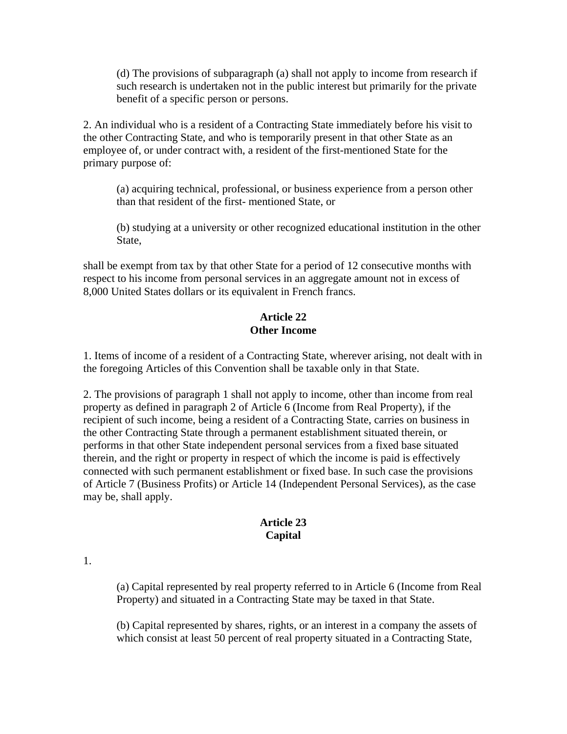(d) The provisions of subparagraph (a) shall not apply to income from research if such research is undertaken not in the public interest but primarily for the private benefit of a specific person or persons.

2. An individual who is a resident of a Contracting State immediately before his visit to the other Contracting State, and who is temporarily present in that other State as an employee of, or under contract with, a resident of the first-mentioned State for the primary purpose of:

(a) acquiring technical, professional, or business experience from a person other than that resident of the first- mentioned State, or

(b) studying at a university or other recognized educational institution in the other State,

shall be exempt from tax by that other State for a period of 12 consecutive months with respect to his income from personal services in an aggregate amount not in excess of 8,000 United States dollars or its equivalent in French francs.

## **Article 22 Other Income**

1. Items of income of a resident of a Contracting State, wherever arising, not dealt with in the foregoing Articles of this Convention shall be taxable only in that State.

2. The provisions of paragraph 1 shall not apply to income, other than income from real property as defined in paragraph 2 of Article 6 (Income from Real Property), if the recipient of such income, being a resident of a Contracting State, carries on business in the other Contracting State through a permanent establishment situated therein, or performs in that other State independent personal services from a fixed base situated therein, and the right or property in respect of which the income is paid is effectively connected with such permanent establishment or fixed base. In such case the provisions of Article 7 (Business Profits) or Article 14 (Independent Personal Services), as the case may be, shall apply.

# **Article 23 Capital**

1.

(a) Capital represented by real property referred to in Article 6 (Income from Real Property) and situated in a Contracting State may be taxed in that State.

(b) Capital represented by shares, rights, or an interest in a company the assets of which consist at least 50 percent of real property situated in a Contracting State,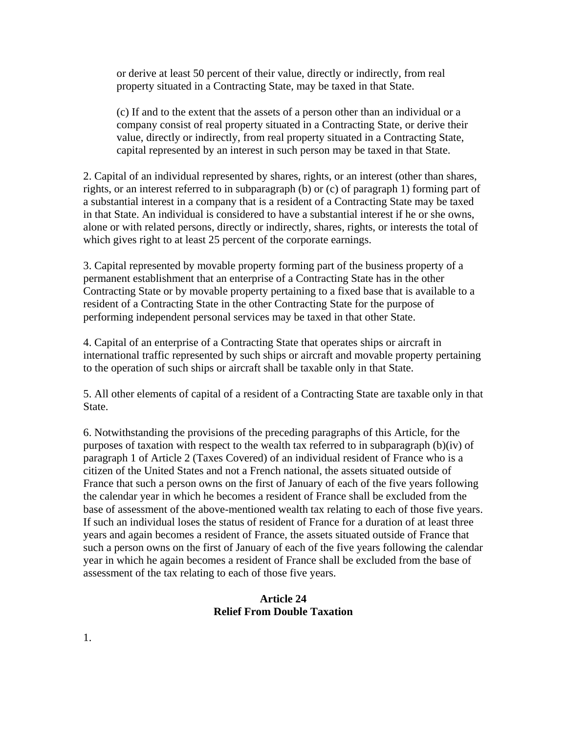or derive at least 50 percent of their value, directly or indirectly, from real property situated in a Contracting State, may be taxed in that State.

(c) If and to the extent that the assets of a person other than an individual or a company consist of real property situated in a Contracting State, or derive their value, directly or indirectly, from real property situated in a Contracting State, capital represented by an interest in such person may be taxed in that State.

2. Capital of an individual represented by shares, rights, or an interest (other than shares, rights, or an interest referred to in subparagraph (b) or (c) of paragraph 1) forming part of a substantial interest in a company that is a resident of a Contracting State may be taxed in that State. An individual is considered to have a substantial interest if he or she owns, alone or with related persons, directly or indirectly, shares, rights, or interests the total of which gives right to at least 25 percent of the corporate earnings.

3. Capital represented by movable property forming part of the business property of a permanent establishment that an enterprise of a Contracting State has in the other Contracting State or by movable property pertaining to a fixed base that is available to a resident of a Contracting State in the other Contracting State for the purpose of performing independent personal services may be taxed in that other State.

4. Capital of an enterprise of a Contracting State that operates ships or aircraft in international traffic represented by such ships or aircraft and movable property pertaining to the operation of such ships or aircraft shall be taxable only in that State.

5. All other elements of capital of a resident of a Contracting State are taxable only in that State.

6. Notwithstanding the provisions of the preceding paragraphs of this Article, for the purposes of taxation with respect to the wealth tax referred to in subparagraph (b)(iv) of paragraph 1 of Article 2 (Taxes Covered) of an individual resident of France who is a citizen of the United States and not a French national, the assets situated outside of France that such a person owns on the first of January of each of the five years following the calendar year in which he becomes a resident of France shall be excluded from the base of assessment of the above-mentioned wealth tax relating to each of those five years. If such an individual loses the status of resident of France for a duration of at least three years and again becomes a resident of France, the assets situated outside of France that such a person owns on the first of January of each of the five years following the calendar year in which he again becomes a resident of France shall be excluded from the base of assessment of the tax relating to each of those five years.

### **Article 24 Relief From Double Taxation**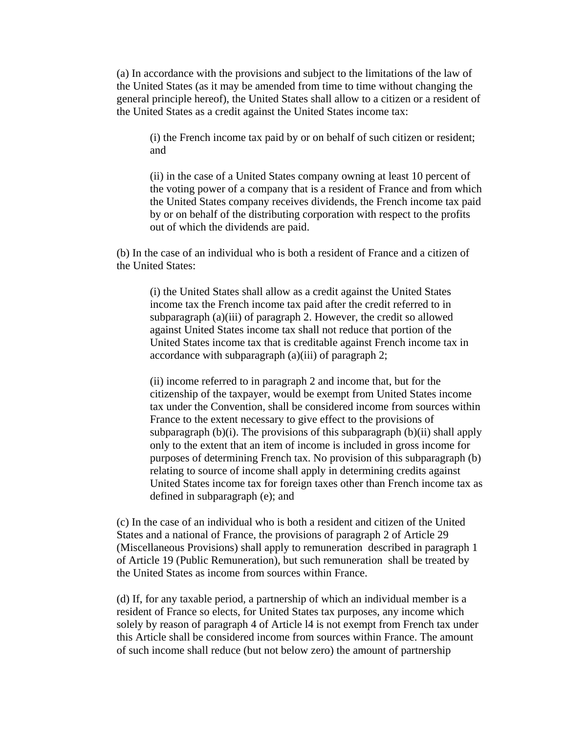(a) In accordance with the provisions and subject to the limitations of the law of the United States (as it may be amended from time to time without changing the general principle hereof), the United States shall allow to a citizen or a resident of the United States as a credit against the United States income tax:

(i) the French income tax paid by or on behalf of such citizen or resident; and

(ii) in the case of a United States company owning at least 10 percent of the voting power of a company that is a resident of France and from which the United States company receives dividends, the French income tax paid by or on behalf of the distributing corporation with respect to the profits out of which the dividends are paid.

(b) In the case of an individual who is both a resident of France and a citizen of the United States:

(i) the United States shall allow as a credit against the United States income tax the French income tax paid after the credit referred to in subparagraph (a)(iii) of paragraph 2. However, the credit so allowed against United States income tax shall not reduce that portion of the United States income tax that is creditable against French income tax in accordance with subparagraph (a)(iii) of paragraph 2;

(ii) income referred to in paragraph 2 and income that, but for the citizenship of the taxpayer, would be exempt from United States income tax under the Convention, shall be considered income from sources within France to the extent necessary to give effect to the provisions of subparagraph  $(b)(i)$ . The provisions of this subparagraph  $(b)(ii)$  shall apply only to the extent that an item of income is included in gross income for purposes of determining French tax. No provision of this subparagraph (b) relating to source of income shall apply in determining credits against United States income tax for foreign taxes other than French income tax as defined in subparagraph (e); and

(c) In the case of an individual who is both a resident and citizen of the United States and a national of France, the provisions of paragraph 2 of Article 29 (Miscellaneous Provisions) shall apply to remuneration described in paragraph 1 of Article 19 (Public Remuneration), but such remuneration shall be treated by the United States as income from sources within France.

(d) If, for any taxable period, a partnership of which an individual member is a resident of France so elects, for United States tax purposes, any income which solely by reason of paragraph 4 of Article l4 is not exempt from French tax under this Article shall be considered income from sources within France. The amount of such income shall reduce (but not below zero) the amount of partnership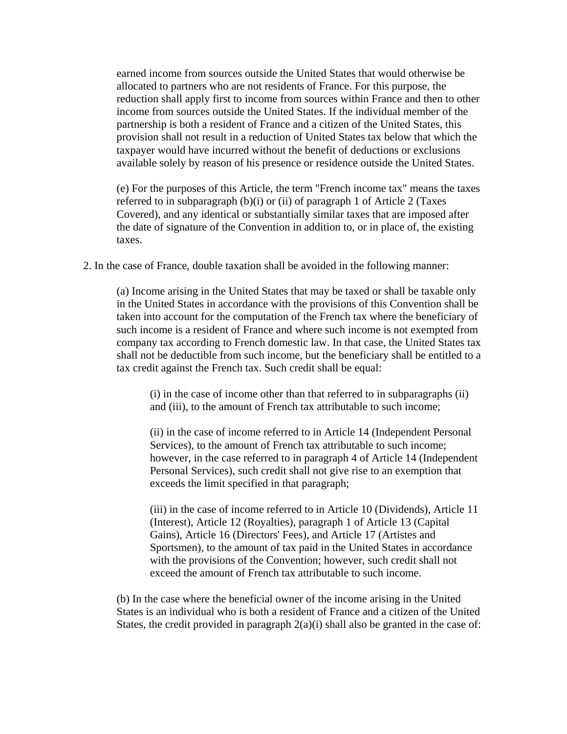earned income from sources outside the United States that would otherwise be allocated to partners who are not residents of France. For this purpose, the reduction shall apply first to income from sources within France and then to other income from sources outside the United States. If the individual member of the partnership is both a resident of France and a citizen of the United States, this provision shall not result in a reduction of United States tax below that which the taxpayer would have incurred without the benefit of deductions or exclusions available solely by reason of his presence or residence outside the United States.

(e) For the purposes of this Article, the term "French income tax" means the taxes referred to in subparagraph (b)(i) or (ii) of paragraph 1 of Article 2 (Taxes Covered), and any identical or substantially similar taxes that are imposed after the date of signature of the Convention in addition to, or in place of, the existing taxes.

2. In the case of France, double taxation shall be avoided in the following manner:

(a) Income arising in the United States that may be taxed or shall be taxable only in the United States in accordance with the provisions of this Convention shall be taken into account for the computation of the French tax where the beneficiary of such income is a resident of France and where such income is not exempted from company tax according to French domestic law. In that case, the United States tax shall not be deductible from such income, but the beneficiary shall be entitled to a tax credit against the French tax. Such credit shall be equal:

(i) in the case of income other than that referred to in subparagraphs (ii) and (iii), to the amount of French tax attributable to such income;

(ii) in the case of income referred to in Article 14 (Independent Personal Services), to the amount of French tax attributable to such income; however, in the case referred to in paragraph 4 of Article 14 (Independent Personal Services), such credit shall not give rise to an exemption that exceeds the limit specified in that paragraph;

(iii) in the case of income referred to in Article 10 (Dividends), Article 11 (Interest), Article 12 (Royalties), paragraph 1 of Article 13 (Capital Gains), Article 16 (Directors' Fees), and Article 17 (Artistes and Sportsmen), to the amount of tax paid in the United States in accordance with the provisions of the Convention; however, such credit shall not exceed the amount of French tax attributable to such income.

(b) In the case where the beneficial owner of the income arising in the United States is an individual who is both a resident of France and a citizen of the United States, the credit provided in paragraph  $2(a)(i)$  shall also be granted in the case of: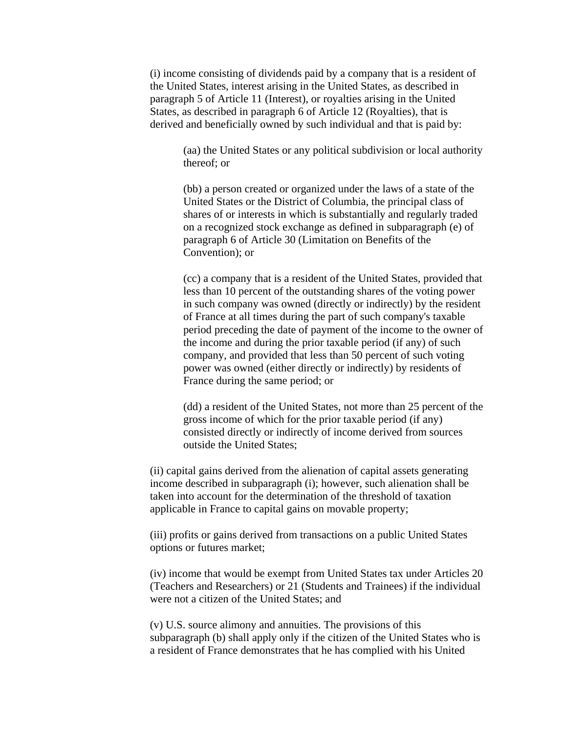(i) income consisting of dividends paid by a company that is a resident of the United States, interest arising in the United States, as described in paragraph 5 of Article 11 (Interest), or royalties arising in the United States, as described in paragraph 6 of Article 12 (Royalties), that is derived and beneficially owned by such individual and that is paid by:

> (aa) the United States or any political subdivision or local authority thereof; or

(bb) a person created or organized under the laws of a state of the United States or the District of Columbia, the principal class of shares of or interests in which is substantially and regularly traded on a recognized stock exchange as defined in subparagraph (e) of paragraph 6 of Article 30 (Limitation on Benefits of the Convention); or

(cc) a company that is a resident of the United States, provided that less than 10 percent of the outstanding shares of the voting power in such company was owned (directly or indirectly) by the resident of France at all times during the part of such company's taxable period preceding the date of payment of the income to the owner of the income and during the prior taxable period (if any) of such company, and provided that less than 50 percent of such voting power was owned (either directly or indirectly) by residents of France during the same period; or

(dd) a resident of the United States, not more than 25 percent of the gross income of which for the prior taxable period (if any) consisted directly or indirectly of income derived from sources outside the United States;

(ii) capital gains derived from the alienation of capital assets generating income described in subparagraph (i); however, such alienation shall be taken into account for the determination of the threshold of taxation applicable in France to capital gains on movable property;

(iii) profits or gains derived from transactions on a public United States options or futures market;

(iv) income that would be exempt from United States tax under Articles 20 (Teachers and Researchers) or 21 (Students and Trainees) if the individual were not a citizen of the United States; and

(v) U.S. source alimony and annuities. The provisions of this subparagraph (b) shall apply only if the citizen of the United States who is a resident of France demonstrates that he has complied with his United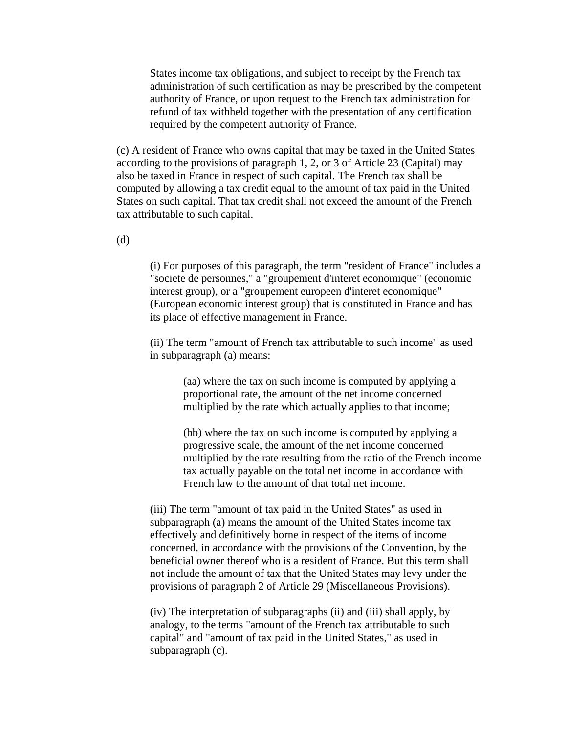States income tax obligations, and subject to receipt by the French tax administration of such certification as may be prescribed by the competent authority of France, or upon request to the French tax administration for refund of tax withheld together with the presentation of any certification required by the competent authority of France.

(c) A resident of France who owns capital that may be taxed in the United States according to the provisions of paragraph 1, 2, or 3 of Article 23 (Capital) may also be taxed in France in respect of such capital. The French tax shall be computed by allowing a tax credit equal to the amount of tax paid in the United States on such capital. That tax credit shall not exceed the amount of the French tax attributable to such capital.

(d)

(i) For purposes of this paragraph, the term "resident of France" includes a "societe de personnes," a "groupement d'interet economique" (economic interest group), or a "groupement europeen d'interet economique" (European economic interest group) that is constituted in France and has its place of effective management in France.

(ii) The term "amount of French tax attributable to such income" as used in subparagraph (a) means:

> (aa) where the tax on such income is computed by applying a proportional rate, the amount of the net income concerned multiplied by the rate which actually applies to that income;

(bb) where the tax on such income is computed by applying a progressive scale, the amount of the net income concerned multiplied by the rate resulting from the ratio of the French income tax actually payable on the total net income in accordance with French law to the amount of that total net income.

(iii) The term "amount of tax paid in the United States" as used in subparagraph (a) means the amount of the United States income tax effectively and definitively borne in respect of the items of income concerned, in accordance with the provisions of the Convention, by the beneficial owner thereof who is a resident of France. But this term shall not include the amount of tax that the United States may levy under the provisions of paragraph 2 of Article 29 (Miscellaneous Provisions).

(iv) The interpretation of subparagraphs (ii) and (iii) shall apply, by analogy, to the terms "amount of the French tax attributable to such capital" and "amount of tax paid in the United States," as used in subparagraph (c).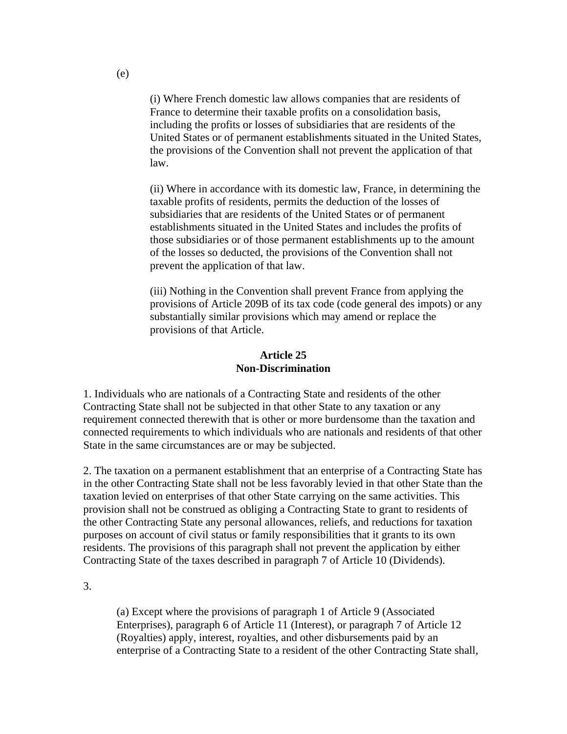(i) Where French domestic law allows companies that are residents of France to determine their taxable profits on a consolidation basis, including the profits or losses of subsidiaries that are residents of the United States or of permanent establishments situated in the United States, the provisions of the Convention shall not prevent the application of that law.

(ii) Where in accordance with its domestic law, France, in determining the taxable profits of residents, permits the deduction of the losses of subsidiaries that are residents of the United States or of permanent establishments situated in the United States and includes the profits of those subsidiaries or of those permanent establishments up to the amount of the losses so deducted, the provisions of the Convention shall not prevent the application of that law.

(iii) Nothing in the Convention shall prevent France from applying the provisions of Article 209B of its tax code (code general des impots) or any substantially similar provisions which may amend or replace the provisions of that Article.

### **Article 25 Non-Discrimination**

1. Individuals who are nationals of a Contracting State and residents of the other Contracting State shall not be subjected in that other State to any taxation or any requirement connected therewith that is other or more burdensome than the taxation and connected requirements to which individuals who are nationals and residents of that other State in the same circumstances are or may be subjected.

2. The taxation on a permanent establishment that an enterprise of a Contracting State has in the other Contracting State shall not be less favorably levied in that other State than the taxation levied on enterprises of that other State carrying on the same activities. This provision shall not be construed as obliging a Contracting State to grant to residents of the other Contracting State any personal allowances, reliefs, and reductions for taxation purposes on account of civil status or family responsibilities that it grants to its own residents. The provisions of this paragraph shall not prevent the application by either Contracting State of the taxes described in paragraph 7 of Article 10 (Dividends).

3.

(a) Except where the provisions of paragraph 1 of Article 9 (Associated Enterprises), paragraph 6 of Article 11 (Interest), or paragraph 7 of Article 12 (Royalties) apply, interest, royalties, and other disbursements paid by an enterprise of a Contracting State to a resident of the other Contracting State shall,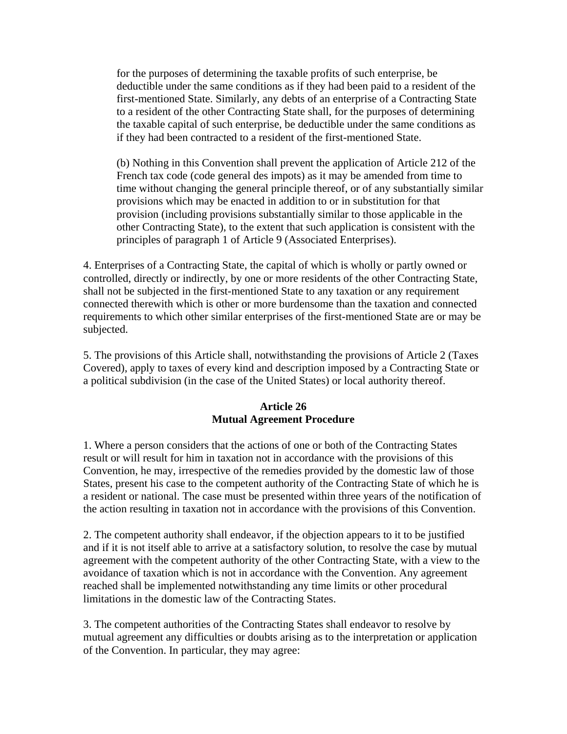for the purposes of determining the taxable profits of such enterprise, be deductible under the same conditions as if they had been paid to a resident of the first-mentioned State. Similarly, any debts of an enterprise of a Contracting State to a resident of the other Contracting State shall, for the purposes of determining the taxable capital of such enterprise, be deductible under the same conditions as if they had been contracted to a resident of the first-mentioned State.

(b) Nothing in this Convention shall prevent the application of Article 212 of the French tax code (code general des impots) as it may be amended from time to time without changing the general principle thereof, or of any substantially similar provisions which may be enacted in addition to or in substitution for that provision (including provisions substantially similar to those applicable in the other Contracting State), to the extent that such application is consistent with the principles of paragraph 1 of Article 9 (Associated Enterprises).

4. Enterprises of a Contracting State, the capital of which is wholly or partly owned or controlled, directly or indirectly, by one or more residents of the other Contracting State, shall not be subjected in the first-mentioned State to any taxation or any requirement connected therewith which is other or more burdensome than the taxation and connected requirements to which other similar enterprises of the first-mentioned State are or may be subjected.

5. The provisions of this Article shall, notwithstanding the provisions of Article 2 (Taxes Covered), apply to taxes of every kind and description imposed by a Contracting State or a political subdivision (in the case of the United States) or local authority thereof.

### **Article 26 Mutual Agreement Procedure**

1. Where a person considers that the actions of one or both of the Contracting States result or will result for him in taxation not in accordance with the provisions of this Convention, he may, irrespective of the remedies provided by the domestic law of those States, present his case to the competent authority of the Contracting State of which he is a resident or national. The case must be presented within three years of the notification of the action resulting in taxation not in accordance with the provisions of this Convention.

2. The competent authority shall endeavor, if the objection appears to it to be justified and if it is not itself able to arrive at a satisfactory solution, to resolve the case by mutual agreement with the competent authority of the other Contracting State, with a view to the avoidance of taxation which is not in accordance with the Convention. Any agreement reached shall be implemented notwithstanding any time limits or other procedural limitations in the domestic law of the Contracting States.

3. The competent authorities of the Contracting States shall endeavor to resolve by mutual agreement any difficulties or doubts arising as to the interpretation or application of the Convention. In particular, they may agree: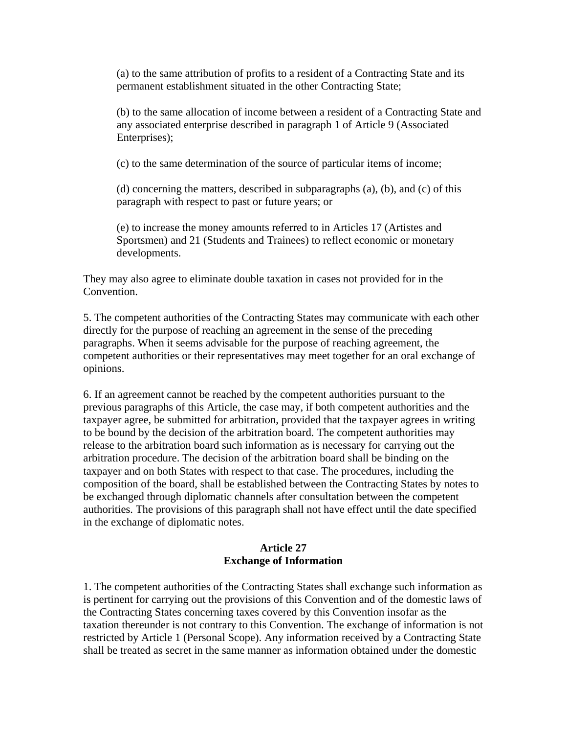(a) to the same attribution of profits to a resident of a Contracting State and its permanent establishment situated in the other Contracting State;

(b) to the same allocation of income between a resident of a Contracting State and any associated enterprise described in paragraph 1 of Article 9 (Associated Enterprises);

(c) to the same determination of the source of particular items of income;

(d) concerning the matters, described in subparagraphs (a), (b), and (c) of this paragraph with respect to past or future years; or

(e) to increase the money amounts referred to in Articles 17 (Artistes and Sportsmen) and 21 (Students and Trainees) to reflect economic or monetary developments.

They may also agree to eliminate double taxation in cases not provided for in the Convention.

5. The competent authorities of the Contracting States may communicate with each other directly for the purpose of reaching an agreement in the sense of the preceding paragraphs. When it seems advisable for the purpose of reaching agreement, the competent authorities or their representatives may meet together for an oral exchange of opinions.

6. If an agreement cannot be reached by the competent authorities pursuant to the previous paragraphs of this Article, the case may, if both competent authorities and the taxpayer agree, be submitted for arbitration, provided that the taxpayer agrees in writing to be bound by the decision of the arbitration board. The competent authorities may release to the arbitration board such information as is necessary for carrying out the arbitration procedure. The decision of the arbitration board shall be binding on the taxpayer and on both States with respect to that case. The procedures, including the composition of the board, shall be established between the Contracting States by notes to be exchanged through diplomatic channels after consultation between the competent authorities. The provisions of this paragraph shall not have effect until the date specified in the exchange of diplomatic notes.

# **Article 27 Exchange of Information**

1. The competent authorities of the Contracting States shall exchange such information as is pertinent for carrying out the provisions of this Convention and of the domestic laws of the Contracting States concerning taxes covered by this Convention insofar as the taxation thereunder is not contrary to this Convention. The exchange of information is not restricted by Article 1 (Personal Scope). Any information received by a Contracting State shall be treated as secret in the same manner as information obtained under the domestic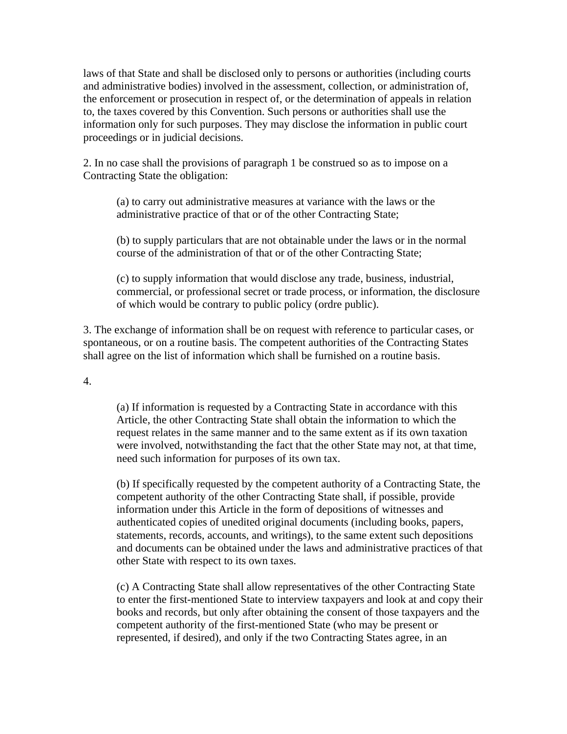laws of that State and shall be disclosed only to persons or authorities (including courts and administrative bodies) involved in the assessment, collection, or administration of, the enforcement or prosecution in respect of, or the determination of appeals in relation to, the taxes covered by this Convention. Such persons or authorities shall use the information only for such purposes. They may disclose the information in public court proceedings or in judicial decisions.

2. In no case shall the provisions of paragraph 1 be construed so as to impose on a Contracting State the obligation:

(a) to carry out administrative measures at variance with the laws or the administrative practice of that or of the other Contracting State;

(b) to supply particulars that are not obtainable under the laws or in the normal course of the administration of that or of the other Contracting State;

(c) to supply information that would disclose any trade, business, industrial, commercial, or professional secret or trade process, or information, the disclosure of which would be contrary to public policy (ordre public).

3. The exchange of information shall be on request with reference to particular cases, or spontaneous, or on a routine basis. The competent authorities of the Contracting States shall agree on the list of information which shall be furnished on a routine basis.

4.

(a) If information is requested by a Contracting State in accordance with this Article, the other Contracting State shall obtain the information to which the request relates in the same manner and to the same extent as if its own taxation were involved, notwithstanding the fact that the other State may not, at that time, need such information for purposes of its own tax.

(b) If specifically requested by the competent authority of a Contracting State, the competent authority of the other Contracting State shall, if possible, provide information under this Article in the form of depositions of witnesses and authenticated copies of unedited original documents (including books, papers, statements, records, accounts, and writings), to the same extent such depositions and documents can be obtained under the laws and administrative practices of that other State with respect to its own taxes.

(c) A Contracting State shall allow representatives of the other Contracting State to enter the first-mentioned State to interview taxpayers and look at and copy their books and records, but only after obtaining the consent of those taxpayers and the competent authority of the first-mentioned State (who may be present or represented, if desired), and only if the two Contracting States agree, in an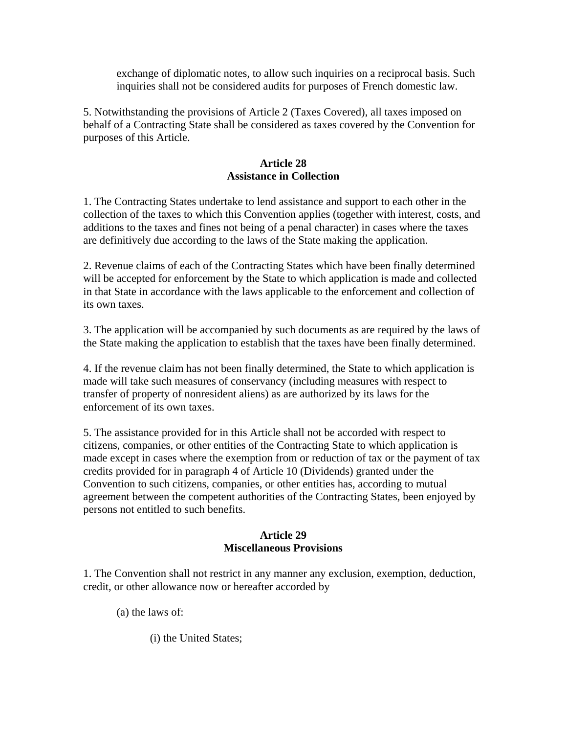exchange of diplomatic notes, to allow such inquiries on a reciprocal basis. Such inquiries shall not be considered audits for purposes of French domestic law.

5. Notwithstanding the provisions of Article 2 (Taxes Covered), all taxes imposed on behalf of a Contracting State shall be considered as taxes covered by the Convention for purposes of this Article.

## **Article 28 Assistance in Collection**

1. The Contracting States undertake to lend assistance and support to each other in the collection of the taxes to which this Convention applies (together with interest, costs, and additions to the taxes and fines not being of a penal character) in cases where the taxes are definitively due according to the laws of the State making the application.

2. Revenue claims of each of the Contracting States which have been finally determined will be accepted for enforcement by the State to which application is made and collected in that State in accordance with the laws applicable to the enforcement and collection of its own taxes.

3. The application will be accompanied by such documents as are required by the laws of the State making the application to establish that the taxes have been finally determined.

4. If the revenue claim has not been finally determined, the State to which application is made will take such measures of conservancy (including measures with respect to transfer of property of nonresident aliens) as are authorized by its laws for the enforcement of its own taxes.

5. The assistance provided for in this Article shall not be accorded with respect to citizens, companies, or other entities of the Contracting State to which application is made except in cases where the exemption from or reduction of tax or the payment of tax credits provided for in paragraph 4 of Article 10 (Dividends) granted under the Convention to such citizens, companies, or other entities has, according to mutual agreement between the competent authorities of the Contracting States, been enjoyed by persons not entitled to such benefits.

# **Article 29 Miscellaneous Provisions**

1. The Convention shall not restrict in any manner any exclusion, exemption, deduction, credit, or other allowance now or hereafter accorded by

(a) the laws of:

(i) the United States;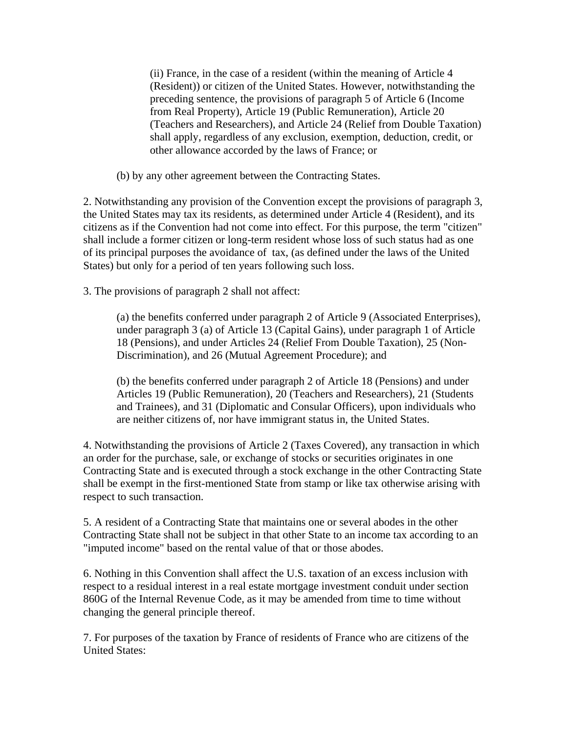(ii) France, in the case of a resident (within the meaning of Article 4 (Resident)) or citizen of the United States. However, notwithstanding the preceding sentence, the provisions of paragraph 5 of Article 6 (Income from Real Property), Article 19 (Public Remuneration), Article 20 (Teachers and Researchers), and Article 24 (Relief from Double Taxation) shall apply, regardless of any exclusion, exemption, deduction, credit, or other allowance accorded by the laws of France; or

(b) by any other agreement between the Contracting States.

2. Notwithstanding any provision of the Convention except the provisions of paragraph 3, the United States may tax its residents, as determined under Article 4 (Resident), and its citizens as if the Convention had not come into effect. For this purpose, the term "citizen" shall include a former citizen or long-term resident whose loss of such status had as one of its principal purposes the avoidance of tax, (as defined under the laws of the United States) but only for a period of ten years following such loss.

3. The provisions of paragraph 2 shall not affect:

(a) the benefits conferred under paragraph 2 of Article 9 (Associated Enterprises), under paragraph 3 (a) of Article 13 (Capital Gains), under paragraph 1 of Article 18 (Pensions), and under Articles 24 (Relief From Double Taxation), 25 (Non-Discrimination), and 26 (Mutual Agreement Procedure); and

(b) the benefits conferred under paragraph 2 of Article 18 (Pensions) and under Articles 19 (Public Remuneration), 20 (Teachers and Researchers), 21 (Students and Trainees), and 31 (Diplomatic and Consular Officers), upon individuals who are neither citizens of, nor have immigrant status in, the United States.

4. Notwithstanding the provisions of Article 2 (Taxes Covered), any transaction in which an order for the purchase, sale, or exchange of stocks or securities originates in one Contracting State and is executed through a stock exchange in the other Contracting State shall be exempt in the first-mentioned State from stamp or like tax otherwise arising with respect to such transaction.

5. A resident of a Contracting State that maintains one or several abodes in the other Contracting State shall not be subject in that other State to an income tax according to an "imputed income" based on the rental value of that or those abodes.

6. Nothing in this Convention shall affect the U.S. taxation of an excess inclusion with respect to a residual interest in a real estate mortgage investment conduit under section 860G of the Internal Revenue Code, as it may be amended from time to time without changing the general principle thereof.

7. For purposes of the taxation by France of residents of France who are citizens of the United States: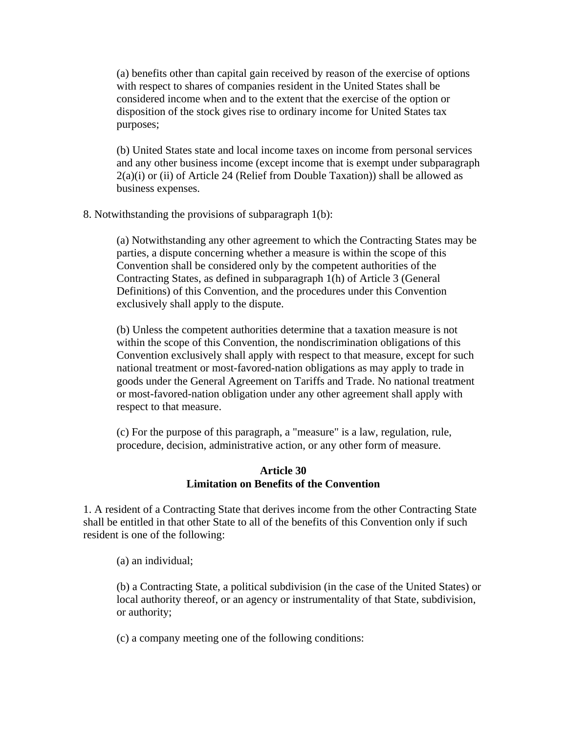(a) benefits other than capital gain received by reason of the exercise of options with respect to shares of companies resident in the United States shall be considered income when and to the extent that the exercise of the option or disposition of the stock gives rise to ordinary income for United States tax purposes;

(b) United States state and local income taxes on income from personal services and any other business income (except income that is exempt under subparagraph  $2(a)(i)$  or (ii) of Article 24 (Relief from Double Taxation)) shall be allowed as business expenses.

8. Notwithstanding the provisions of subparagraph 1(b):

(a) Notwithstanding any other agreement to which the Contracting States may be parties, a dispute concerning whether a measure is within the scope of this Convention shall be considered only by the competent authorities of the Contracting States, as defined in subparagraph 1(h) of Article 3 (General Definitions) of this Convention, and the procedures under this Convention exclusively shall apply to the dispute.

(b) Unless the competent authorities determine that a taxation measure is not within the scope of this Convention, the nondiscrimination obligations of this Convention exclusively shall apply with respect to that measure, except for such national treatment or most-favored-nation obligations as may apply to trade in goods under the General Agreement on Tariffs and Trade. No national treatment or most-favored-nation obligation under any other agreement shall apply with respect to that measure.

(c) For the purpose of this paragraph, a "measure" is a law, regulation, rule, procedure, decision, administrative action, or any other form of measure.

## **Article 30 Limitation on Benefits of the Convention**

1. A resident of a Contracting State that derives income from the other Contracting State shall be entitled in that other State to all of the benefits of this Convention only if such resident is one of the following:

(a) an individual;

(b) a Contracting State, a political subdivision (in the case of the United States) or local authority thereof, or an agency or instrumentality of that State, subdivision, or authority;

(c) a company meeting one of the following conditions: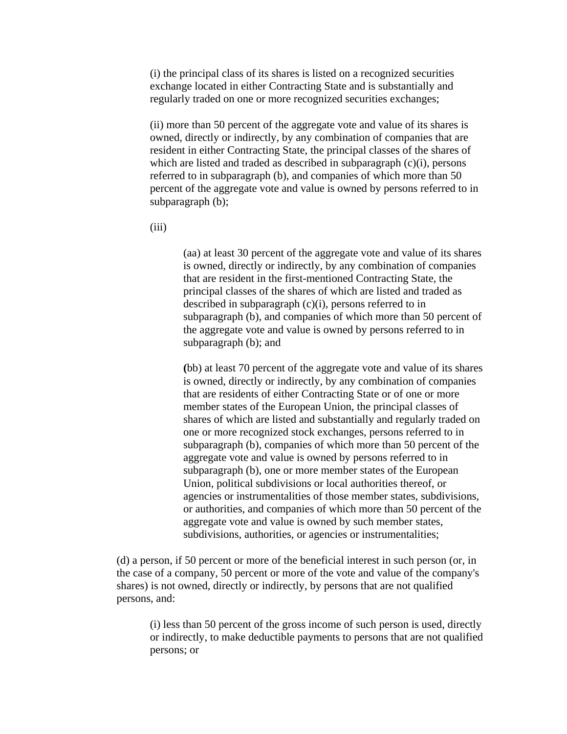(i) the principal class of its shares is listed on a recognized securities exchange located in either Contracting State and is substantially and regularly traded on one or more recognized securities exchanges;

(ii) more than 50 percent of the aggregate vote and value of its shares is owned, directly or indirectly, by any combination of companies that are resident in either Contracting State, the principal classes of the shares of which are listed and traded as described in subparagraph (c)(i), persons referred to in subparagraph (b), and companies of which more than 50 percent of the aggregate vote and value is owned by persons referred to in subparagraph (b);

(iii)

(aa) at least 30 percent of the aggregate vote and value of its shares is owned, directly or indirectly, by any combination of companies that are resident in the first-mentioned Contracting State, the principal classes of the shares of which are listed and traded as described in subparagraph (c)(i), persons referred to in subparagraph (b), and companies of which more than 50 percent of the aggregate vote and value is owned by persons referred to in subparagraph (b); and

**(**bb) at least 70 percent of the aggregate vote and value of its shares is owned, directly or indirectly, by any combination of companies that are residents of either Contracting State or of one or more member states of the European Union, the principal classes of shares of which are listed and substantially and regularly traded on one or more recognized stock exchanges, persons referred to in subparagraph (b), companies of which more than 50 percent of the aggregate vote and value is owned by persons referred to in subparagraph (b), one or more member states of the European Union, political subdivisions or local authorities thereof, or agencies or instrumentalities of those member states, subdivisions, or authorities, and companies of which more than 50 percent of the aggregate vote and value is owned by such member states, subdivisions, authorities, or agencies or instrumentalities;

(d) a person, if 50 percent or more of the beneficial interest in such person (or, in the case of a company, 50 percent or more of the vote and value of the company's shares) is not owned, directly or indirectly, by persons that are not qualified persons, and:

(i) less than 50 percent of the gross income of such person is used, directly or indirectly, to make deductible payments to persons that are not qualified persons; or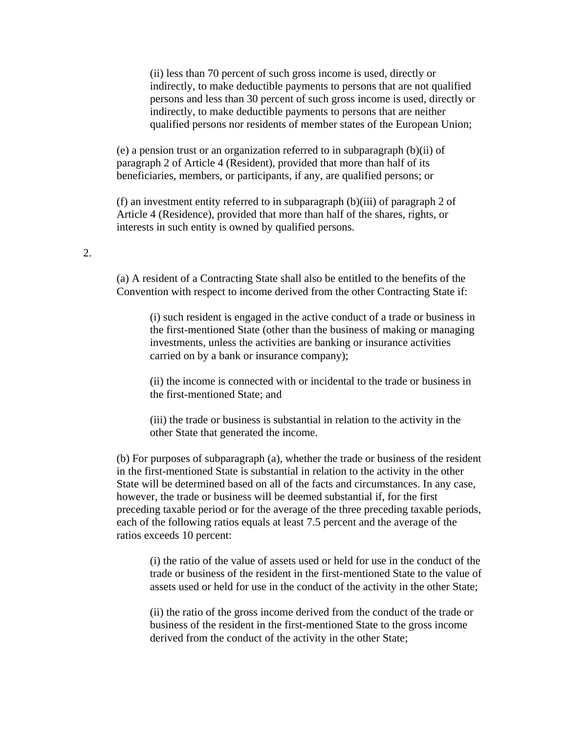(ii) less than 70 percent of such gross income is used, directly or indirectly, to make deductible payments to persons that are not qualified persons and less than 30 percent of such gross income is used, directly or indirectly, to make deductible payments to persons that are neither qualified persons nor residents of member states of the European Union;

(e) a pension trust or an organization referred to in subparagraph (b)(ii) of paragraph 2 of Article 4 (Resident), provided that more than half of its beneficiaries, members, or participants, if any, are qualified persons; or

(f) an investment entity referred to in subparagraph (b)(iii) of paragraph 2 of Article 4 (Residence), provided that more than half of the shares, rights, or interests in such entity is owned by qualified persons.

#### 2.

(a) A resident of a Contracting State shall also be entitled to the benefits of the Convention with respect to income derived from the other Contracting State if:

(i) such resident is engaged in the active conduct of a trade or business in the first-mentioned State (other than the business of making or managing investments, unless the activities are banking or insurance activities carried on by a bank or insurance company);

(ii) the income is connected with or incidental to the trade or business in the first-mentioned State; and

(iii) the trade or business is substantial in relation to the activity in the other State that generated the income.

(b) For purposes of subparagraph (a), whether the trade or business of the resident in the first-mentioned State is substantial in relation to the activity in the other State will be determined based on all of the facts and circumstances. In any case, however, the trade or business will be deemed substantial if, for the first preceding taxable period or for the average of the three preceding taxable periods, each of the following ratios equals at least 7.5 percent and the average of the ratios exceeds 10 percent:

(i) the ratio of the value of assets used or held for use in the conduct of the trade or business of the resident in the first-mentioned State to the value of assets used or held for use in the conduct of the activity in the other State;

(ii) the ratio of the gross income derived from the conduct of the trade or business of the resident in the first-mentioned State to the gross income derived from the conduct of the activity in the other State;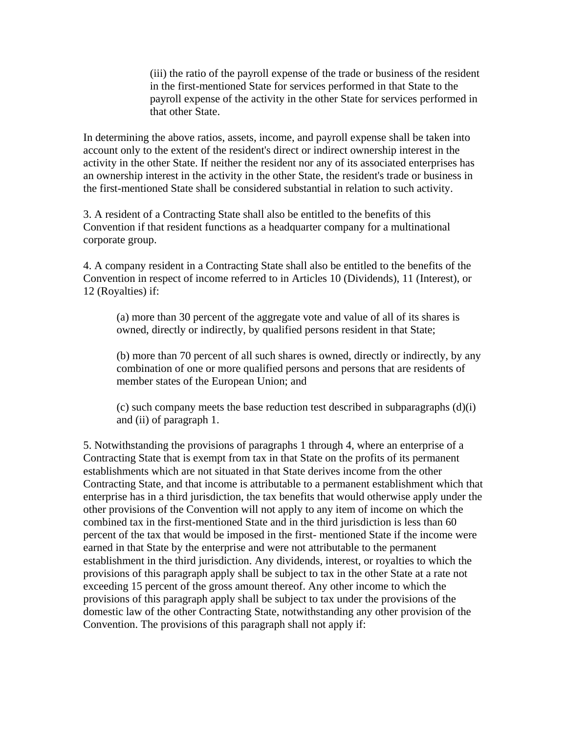(iii) the ratio of the payroll expense of the trade or business of the resident in the first-mentioned State for services performed in that State to the payroll expense of the activity in the other State for services performed in that other State.

In determining the above ratios, assets, income, and payroll expense shall be taken into account only to the extent of the resident's direct or indirect ownership interest in the activity in the other State. If neither the resident nor any of its associated enterprises has an ownership interest in the activity in the other State, the resident's trade or business in the first-mentioned State shall be considered substantial in relation to such activity.

3. A resident of a Contracting State shall also be entitled to the benefits of this Convention if that resident functions as a headquarter company for a multinational corporate group.

4. A company resident in a Contracting State shall also be entitled to the benefits of the Convention in respect of income referred to in Articles 10 (Dividends), 11 (Interest), or 12 (Royalties) if:

(a) more than 30 percent of the aggregate vote and value of all of its shares is owned, directly or indirectly, by qualified persons resident in that State;

(b) more than 70 percent of all such shares is owned, directly or indirectly, by any combination of one or more qualified persons and persons that are residents of member states of the European Union; and

(c) such company meets the base reduction test described in subparagraphs (d)(i) and (ii) of paragraph 1.

5. Notwithstanding the provisions of paragraphs 1 through 4, where an enterprise of a Contracting State that is exempt from tax in that State on the profits of its permanent establishments which are not situated in that State derives income from the other Contracting State, and that income is attributable to a permanent establishment which that enterprise has in a third jurisdiction, the tax benefits that would otherwise apply under the other provisions of the Convention will not apply to any item of income on which the combined tax in the first-mentioned State and in the third jurisdiction is less than 60 percent of the tax that would be imposed in the first- mentioned State if the income were earned in that State by the enterprise and were not attributable to the permanent establishment in the third jurisdiction. Any dividends, interest, or royalties to which the provisions of this paragraph apply shall be subject to tax in the other State at a rate not exceeding 15 percent of the gross amount thereof. Any other income to which the provisions of this paragraph apply shall be subject to tax under the provisions of the domestic law of the other Contracting State, notwithstanding any other provision of the Convention. The provisions of this paragraph shall not apply if: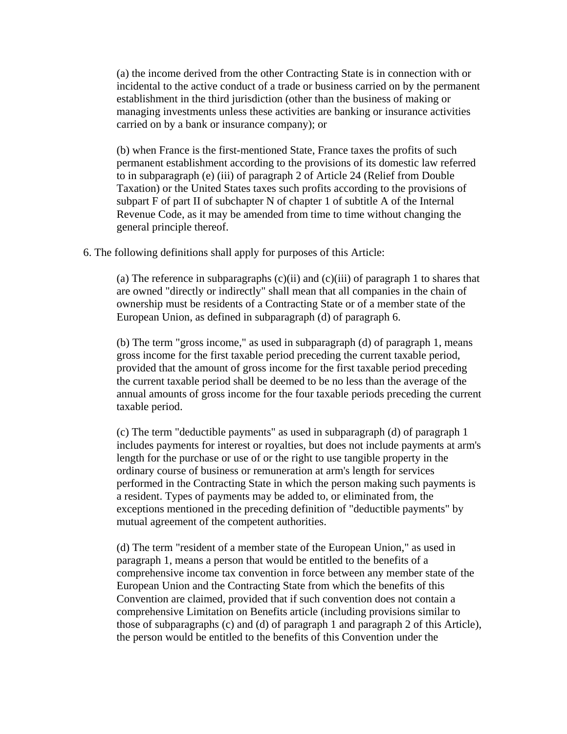(a) the income derived from the other Contracting State is in connection with or incidental to the active conduct of a trade or business carried on by the permanent establishment in the third jurisdiction (other than the business of making or managing investments unless these activities are banking or insurance activities carried on by a bank or insurance company); or

(b) when France is the first-mentioned State, France taxes the profits of such permanent establishment according to the provisions of its domestic law referred to in subparagraph (e) (iii) of paragraph 2 of Article 24 (Relief from Double Taxation) or the United States taxes such profits according to the provisions of subpart F of part II of subchapter N of chapter 1 of subtitle A of the Internal Revenue Code, as it may be amended from time to time without changing the general principle thereof.

6. The following definitions shall apply for purposes of this Article:

(a) The reference in subparagraphs  $(c)(ii)$  and  $(c)(iii)$  of paragraph 1 to shares that are owned "directly or indirectly" shall mean that all companies in the chain of ownership must be residents of a Contracting State or of a member state of the European Union, as defined in subparagraph (d) of paragraph 6.

(b) The term "gross income," as used in subparagraph (d) of paragraph 1, means gross income for the first taxable period preceding the current taxable period, provided that the amount of gross income for the first taxable period preceding the current taxable period shall be deemed to be no less than the average of the annual amounts of gross income for the four taxable periods preceding the current taxable period.

(c) The term "deductible payments" as used in subparagraph (d) of paragraph 1 includes payments for interest or royalties, but does not include payments at arm's length for the purchase or use of or the right to use tangible property in the ordinary course of business or remuneration at arm's length for services performed in the Contracting State in which the person making such payments is a resident. Types of payments may be added to, or eliminated from, the exceptions mentioned in the preceding definition of "deductible payments" by mutual agreement of the competent authorities.

(d) The term "resident of a member state of the European Union," as used in paragraph 1, means a person that would be entitled to the benefits of a comprehensive income tax convention in force between any member state of the European Union and the Contracting State from which the benefits of this Convention are claimed, provided that if such convention does not contain a comprehensive Limitation on Benefits article (including provisions similar to those of subparagraphs (c) and (d) of paragraph 1 and paragraph 2 of this Article), the person would be entitled to the benefits of this Convention under the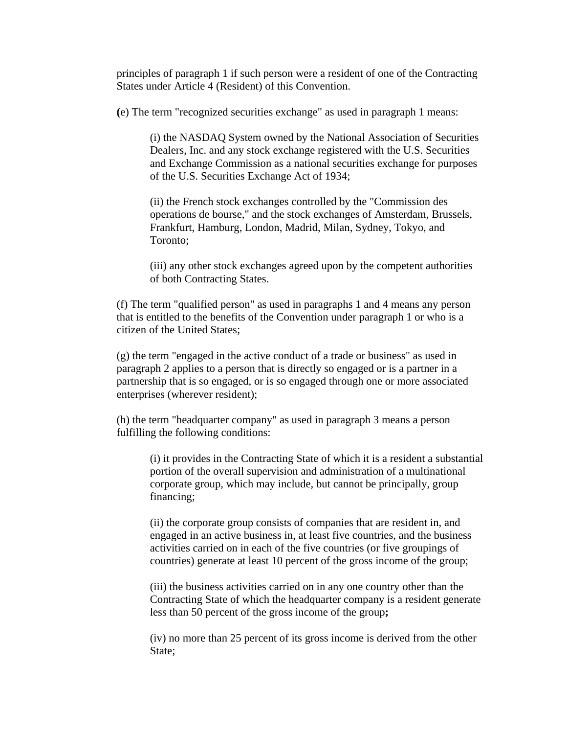principles of paragraph 1 if such person were a resident of one of the Contracting States under Article 4 (Resident) of this Convention.

**(**e) The term "recognized securities exchange" as used in paragraph 1 means:

(i) the NASDAQ System owned by the National Association of Securities Dealers, Inc. and any stock exchange registered with the U.S. Securities and Exchange Commission as a national securities exchange for purposes of the U.S. Securities Exchange Act of 1934;

(ii) the French stock exchanges controlled by the "Commission des operations de bourse," and the stock exchanges of Amsterdam, Brussels, Frankfurt, Hamburg, London, Madrid, Milan, Sydney, Tokyo, and Toronto;

(iii) any other stock exchanges agreed upon by the competent authorities of both Contracting States.

(f) The term "qualified person" as used in paragraphs 1 and 4 means any person that is entitled to the benefits of the Convention under paragraph 1 or who is a citizen of the United States;

(g) the term "engaged in the active conduct of a trade or business" as used in paragraph 2 applies to a person that is directly so engaged or is a partner in a partnership that is so engaged, or is so engaged through one or more associated enterprises (wherever resident);

(h) the term "headquarter company" as used in paragraph 3 means a person fulfilling the following conditions:

(i) it provides in the Contracting State of which it is a resident a substantial portion of the overall supervision and administration of a multinational corporate group, which may include, but cannot be principally, group financing;

(ii) the corporate group consists of companies that are resident in, and engaged in an active business in, at least five countries, and the business activities carried on in each of the five countries (or five groupings of countries) generate at least 10 percent of the gross income of the group;

(iii) the business activities carried on in any one country other than the Contracting State of which the headquarter company is a resident generate less than 50 percent of the gross income of the group**;** 

(iv) no more than 25 percent of its gross income is derived from the other State;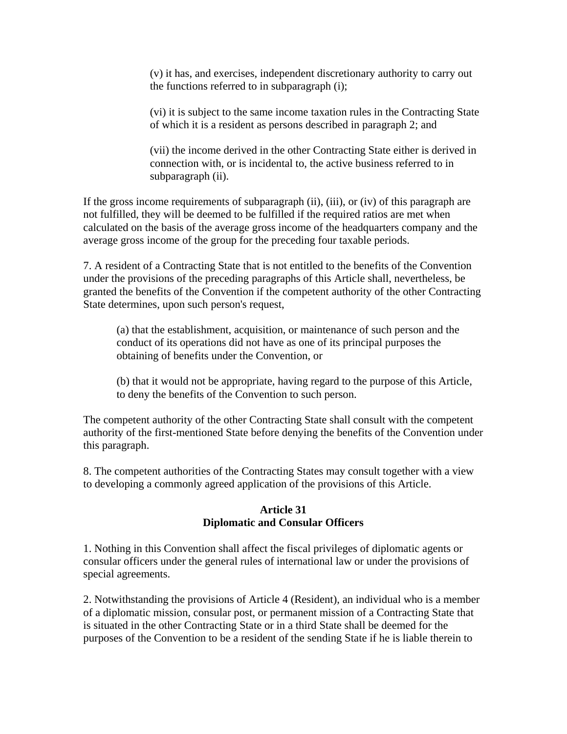(v) it has, and exercises, independent discretionary authority to carry out the functions referred to in subparagraph (i);

(vi) it is subject to the same income taxation rules in the Contracting State of which it is a resident as persons described in paragraph 2; and

(vii) the income derived in the other Contracting State either is derived in connection with, or is incidental to, the active business referred to in subparagraph (ii).

If the gross income requirements of subparagraph (ii), (iii), or (iv) of this paragraph are not fulfilled, they will be deemed to be fulfilled if the required ratios are met when calculated on the basis of the average gross income of the headquarters company and the average gross income of the group for the preceding four taxable periods.

7. A resident of a Contracting State that is not entitled to the benefits of the Convention under the provisions of the preceding paragraphs of this Article shall, nevertheless, be granted the benefits of the Convention if the competent authority of the other Contracting State determines, upon such person's request,

(a) that the establishment, acquisition, or maintenance of such person and the conduct of its operations did not have as one of its principal purposes the obtaining of benefits under the Convention, or

(b) that it would not be appropriate, having regard to the purpose of this Article, to deny the benefits of the Convention to such person.

The competent authority of the other Contracting State shall consult with the competent authority of the first-mentioned State before denying the benefits of the Convention under this paragraph.

8. The competent authorities of the Contracting States may consult together with a view to developing a commonly agreed application of the provisions of this Article.

### **Article 31 Diplomatic and Consular Officers**

1. Nothing in this Convention shall affect the fiscal privileges of diplomatic agents or consular officers under the general rules of international law or under the provisions of special agreements.

2. Notwithstanding the provisions of Article 4 (Resident), an individual who is a member of a diplomatic mission, consular post, or permanent mission of a Contracting State that is situated in the other Contracting State or in a third State shall be deemed for the purposes of the Convention to be a resident of the sending State if he is liable therein to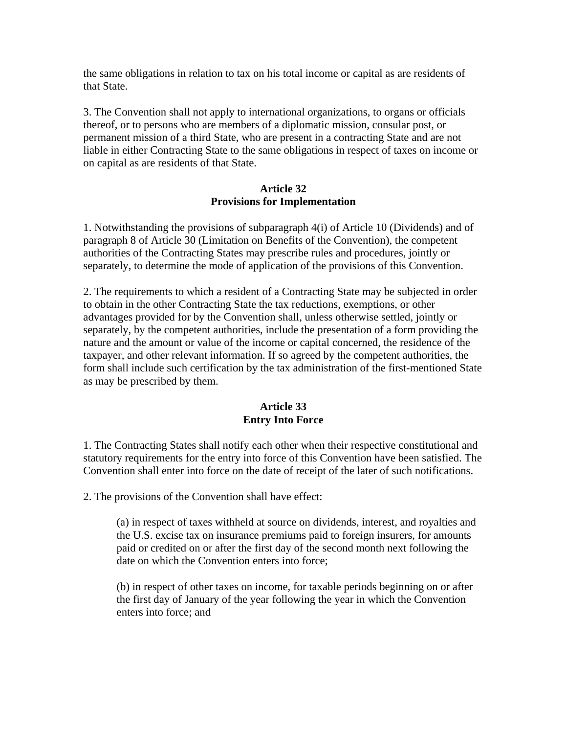the same obligations in relation to tax on his total income or capital as are residents of that State.

3. The Convention shall not apply to international organizations, to organs or officials thereof, or to persons who are members of a diplomatic mission, consular post, or permanent mission of a third State, who are present in a contracting State and are not liable in either Contracting State to the same obligations in respect of taxes on income or on capital as are residents of that State.

### **Article 32 Provisions for Implementation**

1. Notwithstanding the provisions of subparagraph 4(i) of Article 10 (Dividends) and of paragraph 8 of Article 30 (Limitation on Benefits of the Convention), the competent authorities of the Contracting States may prescribe rules and procedures, jointly or separately, to determine the mode of application of the provisions of this Convention.

2. The requirements to which a resident of a Contracting State may be subjected in order to obtain in the other Contracting State the tax reductions, exemptions, or other advantages provided for by the Convention shall, unless otherwise settled, jointly or separately, by the competent authorities, include the presentation of a form providing the nature and the amount or value of the income or capital concerned, the residence of the taxpayer, and other relevant information. If so agreed by the competent authorities, the form shall include such certification by the tax administration of the first-mentioned State as may be prescribed by them.

### **Article 33 Entry Into Force**

1. The Contracting States shall notify each other when their respective constitutional and statutory requirements for the entry into force of this Convention have been satisfied. The Convention shall enter into force on the date of receipt of the later of such notifications.

2. The provisions of the Convention shall have effect:

(a) in respect of taxes withheld at source on dividends, interest, and royalties and the U.S. excise tax on insurance premiums paid to foreign insurers, for amounts paid or credited on or after the first day of the second month next following the date on which the Convention enters into force;

(b) in respect of other taxes on income, for taxable periods beginning on or after the first day of January of the year following the year in which the Convention enters into force; and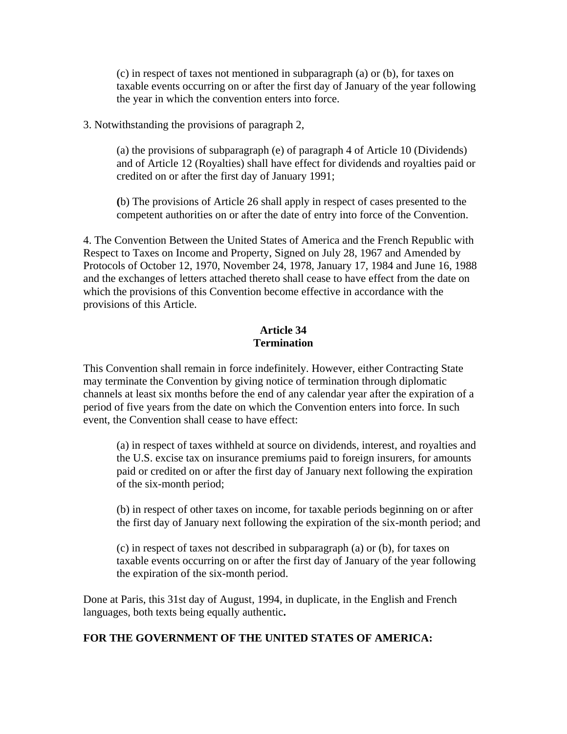(c) in respect of taxes not mentioned in subparagraph (a) or (b), for taxes on taxable events occurring on or after the first day of January of the year following the year in which the convention enters into force.

3. Notwithstanding the provisions of paragraph 2,

(a) the provisions of subparagraph (e) of paragraph 4 of Article 10 (Dividends) and of Article 12 (Royalties) shall have effect for dividends and royalties paid or credited on or after the first day of January 1991;

**(**b) The provisions of Article 26 shall apply in respect of cases presented to the competent authorities on or after the date of entry into force of the Convention.

4. The Convention Between the United States of America and the French Republic with Respect to Taxes on Income and Property, Signed on July 28, 1967 and Amended by Protocols of October 12, 1970, November 24, 1978, January 17, 1984 and June 16, 1988 and the exchanges of letters attached thereto shall cease to have effect from the date on which the provisions of this Convention become effective in accordance with the provisions of this Article.

## **Article 34 Termination**

This Convention shall remain in force indefinitely. However, either Contracting State may terminate the Convention by giving notice of termination through diplomatic channels at least six months before the end of any calendar year after the expiration of a period of five years from the date on which the Convention enters into force. In such event, the Convention shall cease to have effect:

(a) in respect of taxes withheld at source on dividends, interest, and royalties and the U.S. excise tax on insurance premiums paid to foreign insurers, for amounts paid or credited on or after the first day of January next following the expiration of the six-month period;

(b) in respect of other taxes on income, for taxable periods beginning on or after the first day of January next following the expiration of the six-month period; and

(c) in respect of taxes not described in subparagraph (a) or (b), for taxes on taxable events occurring on or after the first day of January of the year following the expiration of the six-month period.

Done at Paris, this 31st day of August, 1994, in duplicate, in the English and French languages, both texts being equally authentic**.** 

# **FOR THE GOVERNMENT OF THE UNITED STATES OF AMERICA:**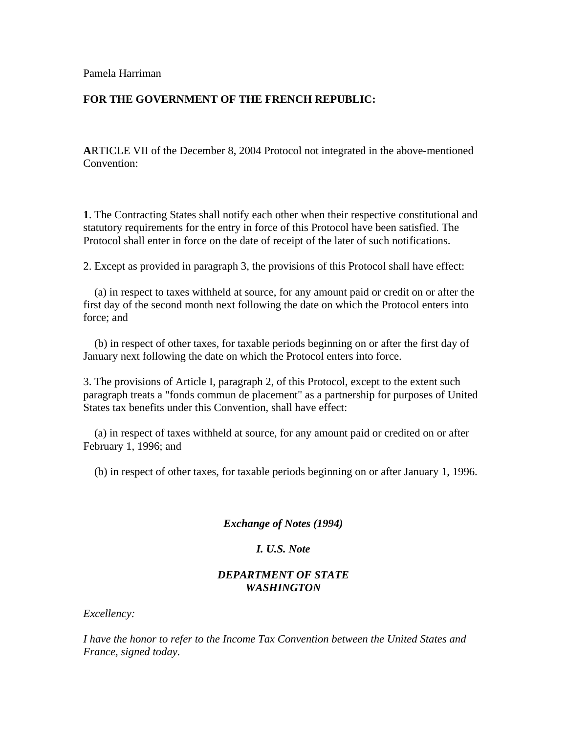Pamela Harriman

## **FOR THE GOVERNMENT OF THE FRENCH REPUBLIC:**

**A**RTICLE VII of the December 8, 2004 Protocol not integrated in the above-mentioned Convention:

**1**. The Contracting States shall notify each other when their respective constitutional and statutory requirements for the entry in force of this Protocol have been satisfied. The Protocol shall enter in force on the date of receipt of the later of such notifications.

2. Except as provided in paragraph 3, the provisions of this Protocol shall have effect:

 (a) in respect to taxes withheld at source, for any amount paid or credit on or after the first day of the second month next following the date on which the Protocol enters into force; and

 (b) in respect of other taxes, for taxable periods beginning on or after the first day of January next following the date on which the Protocol enters into force.

3. The provisions of Article I, paragraph 2, of this Protocol, except to the extent such paragraph treats a "fonds commun de placement" as a partnership for purposes of United States tax benefits under this Convention, shall have effect:

 (a) in respect of taxes withheld at source, for any amount paid or credited on or after February 1, 1996; and

(b) in respect of other taxes, for taxable periods beginning on or after January 1, 1996.

*Exchange of Notes (1994)* 

### *I. U.S. Note*

## *DEPARTMENT OF STATE WASHINGTON*

*Excellency:* 

*I have the honor to refer to the Income Tax Convention between the United States and France, signed today.*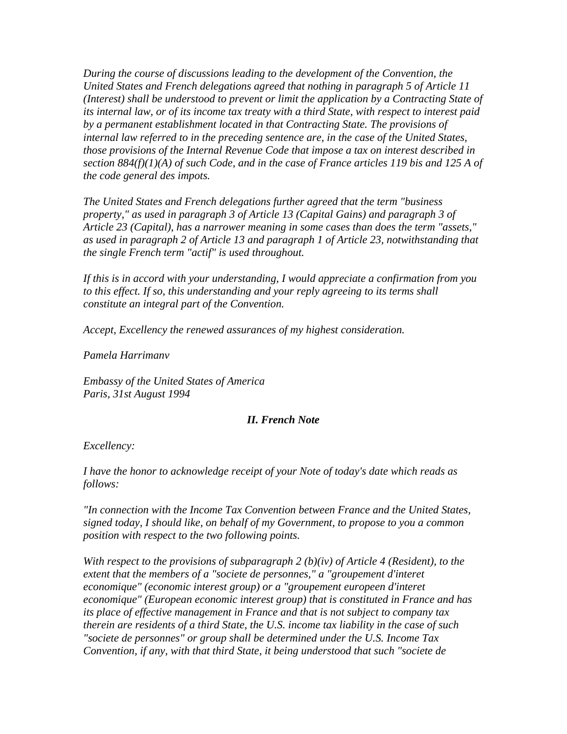*During the course of discussions leading to the development of the Convention, the United States and French delegations agreed that nothing in paragraph 5 of Article 11 (Interest) shall be understood to prevent or limit the application by a Contracting State of its internal law, or of its income tax treaty with a third State, with respect to interest paid*  by a permanent establishment located in that Contracting State. The provisions of *internal law referred to in the preceding sentence are, in the case of the United States, those provisions of the Internal Revenue Code that impose a tax on interest described in section 884(f)(1)(A) of such Code, and in the case of France articles 119 bis and 125 A of the code general des impots.* 

*The United States and French delegations further agreed that the term "business property," as used in paragraph 3 of Article 13 (Capital Gains) and paragraph 3 of Article 23 (Capital), has a narrower meaning in some cases than does the term "assets," as used in paragraph 2 of Article 13 and paragraph 1 of Article 23, notwithstanding that the single French term "actif" is used throughout.* 

*If this is in accord with your understanding, I would appreciate a confirmation from you to this effect. If so, this understanding and your reply agreeing to its terms shall constitute an integral part of the Convention.* 

*Accept, Excellency the renewed assurances of my highest consideration.* 

*Pamela Harrimanv* 

*Embassy of the United States of America Paris, 31st August 1994* 

### *II. French Note*

*Excellency:* 

*I have the honor to acknowledge receipt of your Note of today's date which reads as follows:* 

*"In connection with the Income Tax Convention between France and the United States, signed today, I should like, on behalf of my Government, to propose to you a common position with respect to the two following points.* 

*With respect to the provisions of subparagraph 2 (b)(iv) of Article 4 (Resident), to the extent that the members of a "societe de personnes," a "groupement d'interet economique" (economic interest group) or a "groupement europeen d'interet economique" (European economic interest group) that is constituted in France and has its place of effective management in France and that is not subject to company tax therein are residents of a third State, the U.S. income tax liability in the case of such "societe de personnes" or group shall be determined under the U.S. Income Tax Convention, if any, with that third State, it being understood that such "societe de*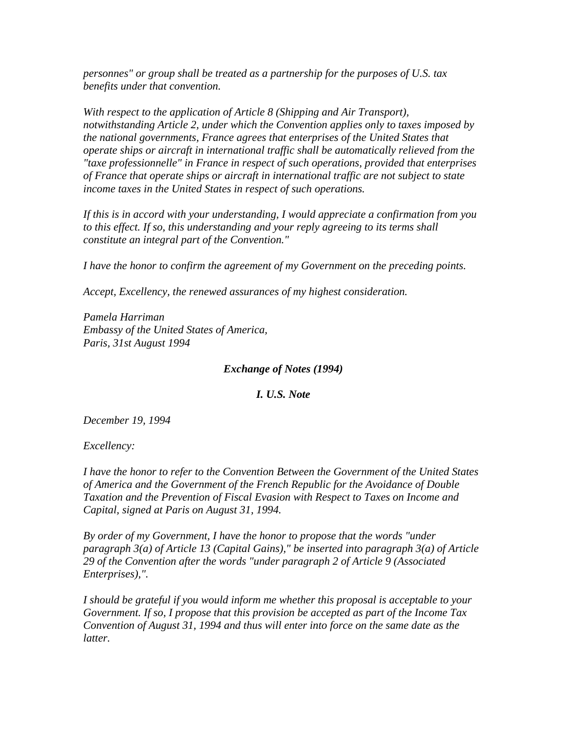*personnes" or group shall be treated as a partnership for the purposes of U.S. tax benefits under that convention.* 

*With respect to the application of Article 8 (Shipping and Air Transport), notwithstanding Article 2, under which the Convention applies only to taxes imposed by the national governments, France agrees that enterprises of the United States that operate ships or aircraft in international traffic shall be automatically relieved from the "taxe professionnelle" in France in respect of such operations, provided that enterprises of France that operate ships or aircraft in international traffic are not subject to state income taxes in the United States in respect of such operations.* 

*If this is in accord with your understanding, I would appreciate a confirmation from you to this effect. If so, this understanding and your reply agreeing to its terms shall constitute an integral part of the Convention."* 

*I have the honor to confirm the agreement of my Government on the preceding points.* 

*Accept, Excellency, the renewed assurances of my highest consideration.* 

*Pamela Harriman Embassy of the United States of America, Paris, 31st August 1994* 

*Exchange of Notes (1994)* 

*I. U.S. Note* 

*December 19, 1994* 

*Excellency:* 

*I have the honor to refer to the Convention Between the Government of the United States of America and the Government of the French Republic for the Avoidance of Double Taxation and the Prevention of Fiscal Evasion with Respect to Taxes on Income and Capital, signed at Paris on August 31, 1994.* 

*By order of my Government, I have the honor to propose that the words "under paragraph 3(a) of Article 13 (Capital Gains)," be inserted into paragraph 3(a) of Article 29 of the Convention after the words "under paragraph 2 of Article 9 (Associated Enterprises),".* 

*I should be grateful if you would inform me whether this proposal is acceptable to your Government. If so, I propose that this provision be accepted as part of the Income Tax Convention of August 31, 1994 and thus will enter into force on the same date as the latter.*